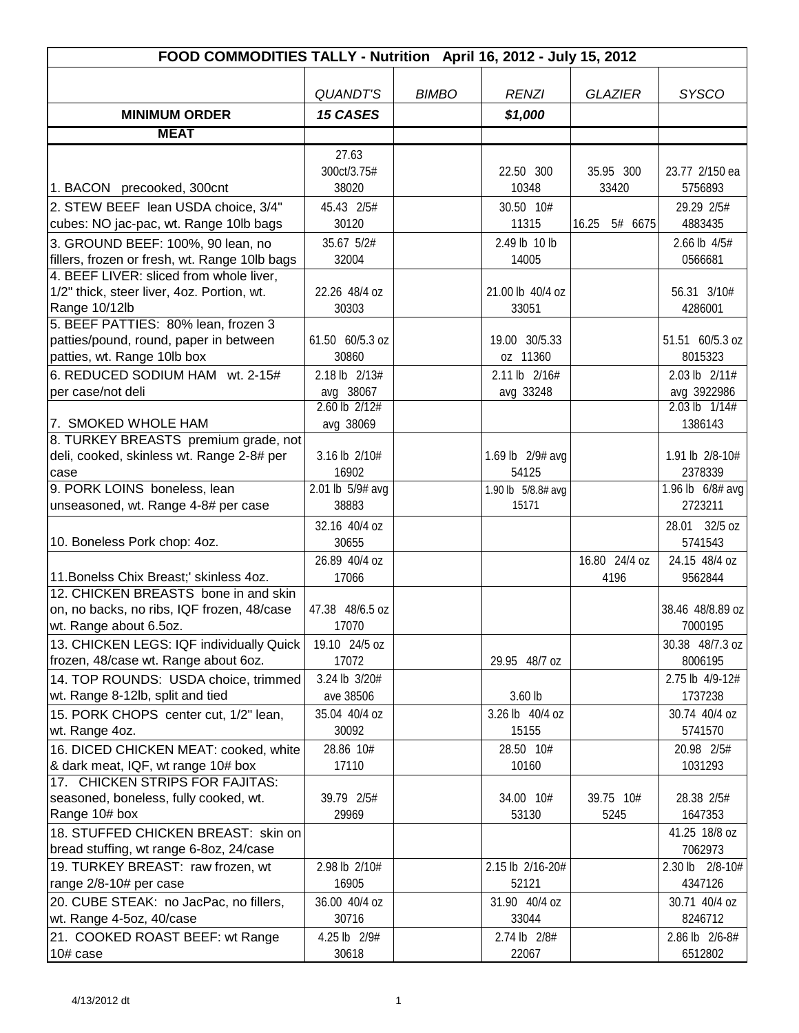| FOOD COMMODITIES TALLY - Nutrition April 16, 2012 - July 15, 2012     |                   |              |                    |                  |                   |  |
|-----------------------------------------------------------------------|-------------------|--------------|--------------------|------------------|-------------------|--|
|                                                                       |                   |              |                    |                  |                   |  |
|                                                                       | <b>QUANDT'S</b>   | <b>BIMBO</b> | <b>RENZI</b>       | <b>GLAZIER</b>   | <b>SYSCO</b>      |  |
| <b>MINIMUM ORDER</b>                                                  | <b>15 CASES</b>   |              | \$1,000            |                  |                   |  |
| <b>MEAT</b>                                                           |                   |              |                    |                  |                   |  |
|                                                                       | 27.63             |              |                    |                  |                   |  |
|                                                                       | 300ct/3.75#       |              | 22.50 300          | 35.95 300        | 23.77 2/150 ea    |  |
| 1. BACON precooked, 300cnt                                            | 38020             |              | 10348              | 33420            | 5756893           |  |
| 2. STEW BEEF lean USDA choice, 3/4"                                   | 45.43 2/5#        |              | 30.50 10#          |                  | 29.29 2/5#        |  |
| cubes: NO jac-pac, wt. Range 10lb bags                                | 30120             |              | 11315              | 16.25<br>5# 6675 | 4883435           |  |
| 3. GROUND BEEF: 100%, 90 lean, no                                     | 35.67 5/2#        |              | 2.49 lb 10 lb      |                  | 2.66 lb 4/5#      |  |
| fillers, frozen or fresh, wt. Range 10lb bags                         | 32004             |              | 14005              |                  | 0566681           |  |
| 4. BEEF LIVER: sliced from whole liver,                               |                   |              |                    |                  |                   |  |
| 1/2" thick, steer liver, 4oz. Portion, wt.                            | 22.26 48/4 oz     |              | 21.00 lb 40/4 oz   |                  | 56.31 3/10#       |  |
| Range 10/12lb                                                         | 30303             |              | 33051              |                  | 4286001           |  |
| 5. BEEF PATTIES: 80% lean, frozen 3                                   | 61.50 60/5.3 oz   |              | 19.00 30/5.33      |                  | 51.51 60/5.3 oz   |  |
| patties/pound, round, paper in between<br>patties, wt. Range 10lb box | 30860             |              | oz 11360           |                  | 8015323           |  |
| 6. REDUCED SODIUM HAM wt. 2-15#                                       | 2.18 lb 2/13#     |              | 2.11 lb 2/16#      |                  | 2.03 lb 2/11#     |  |
| per case/not deli                                                     | avg 38067         |              | avg 33248          |                  | avg 3922986       |  |
|                                                                       | $2.60$ lb $2/12#$ |              |                    |                  | $2.03$ lb $1/14#$ |  |
| 7. SMOKED WHOLE HAM                                                   | avg 38069         |              |                    |                  | 1386143           |  |
| 8. TURKEY BREASTS premium grade, not                                  |                   |              |                    |                  |                   |  |
| deli, cooked, skinless wt. Range 2-8# per                             | 3.16 lb 2/10#     |              | 1.69 lb 2/9# avg   |                  | 1.91 lb 2/8-10#   |  |
| case                                                                  | 16902             |              | 54125              |                  | 2378339           |  |
| 9. PORK LOINS boneless, lean                                          | 2.01 lb 5/9# avg  |              | 1.90 lb 5/8.8# avg |                  | 1.96 lb 6/8# avg  |  |
| unseasoned, wt. Range 4-8# per case                                   | 38883             |              | 15171              |                  | 2723211           |  |
|                                                                       | 32.16 40/4 oz     |              |                    |                  | 28.01 32/5 oz     |  |
| 10. Boneless Pork chop: 4oz.                                          | 30655             |              |                    |                  | 5741543           |  |
|                                                                       | 26.89 40/4 oz     |              |                    | 16.80 24/4 oz    | 24.15 48/4 oz     |  |
| 11. Bonelss Chix Breast;' skinless 4oz.                               | 17066             |              |                    | 4196             | 9562844           |  |
| 12. CHICKEN BREASTS bone in and skin                                  | 47.38 48/6.5 oz   |              |                    |                  | 38.46 48/8.89 oz  |  |
| on, no backs, no ribs, IQF frozen, 48/case<br>wt. Range about 6.5oz.  | 17070             |              |                    |                  | 7000195           |  |
| 13. CHICKEN LEGS: IQF individually Quick                              | 19.10 24/5 oz     |              |                    |                  | 30.38 48/7.3 oz   |  |
| frozen, 48/case wt. Range about 6oz.                                  | 17072             |              | 29.95 48/7 oz      |                  | 8006195           |  |
| 14. TOP ROUNDS: USDA choice, trimmed                                  | 3.24 lb 3/20#     |              |                    |                  | 2.75 lb 4/9-12#   |  |
| wt. Range 8-12lb, split and tied                                      | ave 38506         |              | $3.60$ lb          |                  | 1737238           |  |
| 15. PORK CHOPS center cut, 1/2" lean,                                 | 35.04 40/4 oz     |              | 3.26 lb 40/4 oz    |                  | 30.74 40/4 oz     |  |
| wt. Range 4oz.                                                        | 30092             |              | 15155              |                  | 5741570           |  |
| 16. DICED CHICKEN MEAT: cooked, white                                 | 28.86 10#         |              | 28.50 10#          |                  | 20.98 2/5#        |  |
| & dark meat, IQF, wt range 10# box                                    | 17110             |              | 10160              |                  | 1031293           |  |
| 17. CHICKEN STRIPS FOR FAJITAS:                                       |                   |              |                    |                  |                   |  |
| seasoned, boneless, fully cooked, wt.                                 | 39.79 2/5#        |              | 34.00 10#          | 39.75 10#        | 28.38 2/5#        |  |
| Range 10# box                                                         | 29969             |              | 53130              | 5245             | 1647353           |  |
| 18. STUFFED CHICKEN BREAST: skin on                                   |                   |              |                    |                  | 41.25 18/8 oz     |  |
| bread stuffing, wt range 6-8oz, 24/case                               |                   |              |                    |                  | 7062973           |  |
| 19. TURKEY BREAST: raw frozen, wt                                     | 2.98 lb 2/10#     |              | 2.15 lb 2/16-20#   |                  | 2.30 lb 2/8-10#   |  |
| range 2/8-10# per case                                                | 16905             |              | 52121              |                  | 4347126           |  |
| 20. CUBE STEAK: no JacPac, no fillers,                                | 36.00 40/4 oz     |              | 31.90 40/4 oz      |                  | 30.71 40/4 oz     |  |
| wt. Range 4-5oz, 40/case                                              | 30716             |              | 33044              |                  | 8246712           |  |
| 21. COOKED ROAST BEEF: wt Range                                       | 4.25 lb 2/9#      |              | 2.74 lb 2/8#       |                  | 2.86 lb 2/6-8#    |  |
| 10# case                                                              | 30618             |              | 22067              |                  | 6512802           |  |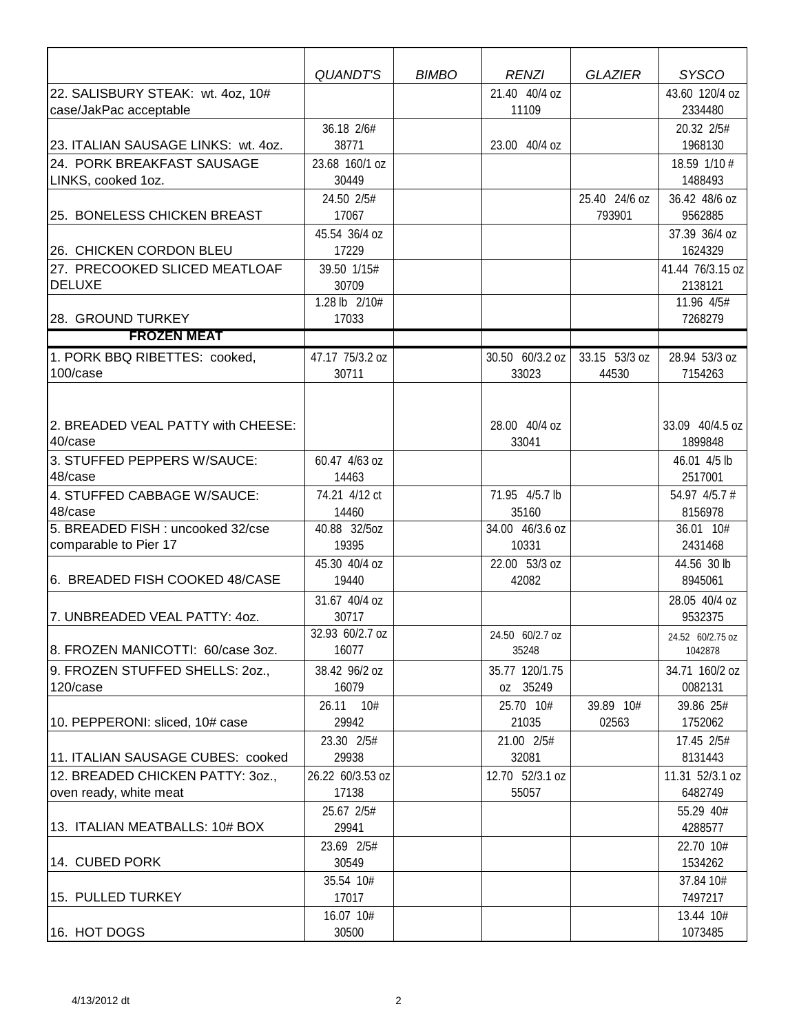|                                                             | <b>QUANDT'S</b>           | <b>BIMBO</b> | <b>RENZI</b>               | <b>GLAZIER</b>          | <b>SYSCO</b>                |
|-------------------------------------------------------------|---------------------------|--------------|----------------------------|-------------------------|-----------------------------|
| 22. SALISBURY STEAK: wt. 4oz, 10#<br>case/JakPac acceptable |                           |              | 21.40 40/4 oz<br>11109     |                         | 43.60 120/4 oz<br>2334480   |
| 23. ITALIAN SAUSAGE LINKS: wt. 4oz.                         | 36.18 2/6#<br>38771       |              | 23.00 40/4 oz              |                         | 20.32 2/5#<br>1968130       |
| 24. PORK BREAKFAST SAUSAGE<br>LINKS, cooked 1oz.            | 23.68 160/1 oz<br>30449   |              |                            |                         | 18.59 1/10 #<br>1488493     |
| 25. BONELESS CHICKEN BREAST                                 | 24.50 2/5#<br>17067       |              |                            | 25.40 24/6 oz<br>793901 | 36.42 48/6 oz<br>9562885    |
| 26. CHICKEN CORDON BLEU                                     | 45.54 36/4 oz<br>17229    |              |                            |                         | 37.39 36/4 oz<br>1624329    |
| 27. PRECOOKED SLICED MEATLOAF<br><b>DELUXE</b>              | 39.50 1/15#<br>30709      |              |                            |                         | 41.44 76/3.15 oz<br>2138121 |
| 28. GROUND TURKEY                                           | 1.28 lb 2/10#<br>17033    |              |                            |                         | 11.96 4/5#<br>7268279       |
| <b>FROZEN MEAT</b>                                          |                           |              |                            |                         |                             |
| 1. PORK BBQ RIBETTES: cooked,<br>100/case                   | 47.17 75/3.2 oz<br>30711  |              | 30.50 60/3.2 oz<br>33023   | 33.15 53/3 oz<br>44530  | 28.94 53/3 oz<br>7154263    |
| 2. BREADED VEAL PATTY with CHEESE:<br>40/case               |                           |              | 28.00 40/4 oz<br>33041     |                         | 33.09 40/4.5 oz<br>1899848  |
| 3. STUFFED PEPPERS W/SAUCE:<br>48/case                      | 60.47 4/63 oz<br>14463    |              |                            |                         | 46.01 4/5 lb<br>2517001     |
| 4. STUFFED CABBAGE W/SAUCE:<br>48/case                      | 74.21 4/12 ct<br>14460    |              | 71.95 4/5.7 lb<br>35160    |                         | 54.97 4/5.7 #<br>8156978    |
| 5. BREADED FISH : uncooked 32/cse<br>comparable to Pier 17  | 40.88 32/5oz<br>19395     |              | 34.00 46/3.6 oz<br>10331   |                         | 36.01 10#<br>2431468        |
| 6. BREADED FISH COOKED 48/CASE                              | 45.30 40/4 oz<br>19440    |              | 22.00 53/3 oz<br>42082     |                         | 44.56 30 lb<br>8945061      |
| 7. UNBREADED VEAL PATTY: 40Z.                               | 31.67 40/4 oz<br>30717    |              |                            |                         | 28.05 40/4 oz<br>9532375    |
| 8. FROZEN MANICOTTI: 60/case 3oz.                           | 32.93 60/2.7 oz<br>16077  |              | 24.50 60/2.7 oz<br>35248   |                         | 24.52 60/2.75 oz<br>1042878 |
| 9. FROZEN STUFFED SHELLS: 20Z.,<br>120/case                 | 38.42 96/2 oz<br>16079    |              | 35.77 120/1.75<br>oz 35249 |                         | 34.71 160/2 oz<br>0082131   |
| 10. PEPPERONI: sliced, 10# case                             | 26.11 10#<br>29942        |              | 25.70 10#<br>21035         | 39.89 10#<br>02563      | 39.86 25#<br>1752062        |
| 11. ITALIAN SAUSAGE CUBES: cooked                           | 23.30 2/5#<br>29938       |              | 21.00 2/5#<br>32081        |                         | 17.45 2/5#<br>8131443       |
| 12. BREADED CHICKEN PATTY: 30Z.,<br>oven ready, white meat  | 26.22 60/3.53 oz<br>17138 |              | 12.70 52/3.1 oz<br>55057   |                         | 11.31 52/3.1 oz<br>6482749  |
| 13. ITALIAN MEATBALLS: 10# BOX                              | 25.67 2/5#<br>29941       |              |                            |                         | 55.29 40#<br>4288577        |
| 14. CUBED PORK                                              | 23.69 2/5#<br>30549       |              |                            |                         | 22.70 10#<br>1534262        |
| 15. PULLED TURKEY                                           | 35.54 10#<br>17017        |              |                            |                         | 37.84 10#<br>7497217        |
| 16. HOT DOGS                                                | 16.07 10#<br>30500        |              |                            |                         | 13.44 10#<br>1073485        |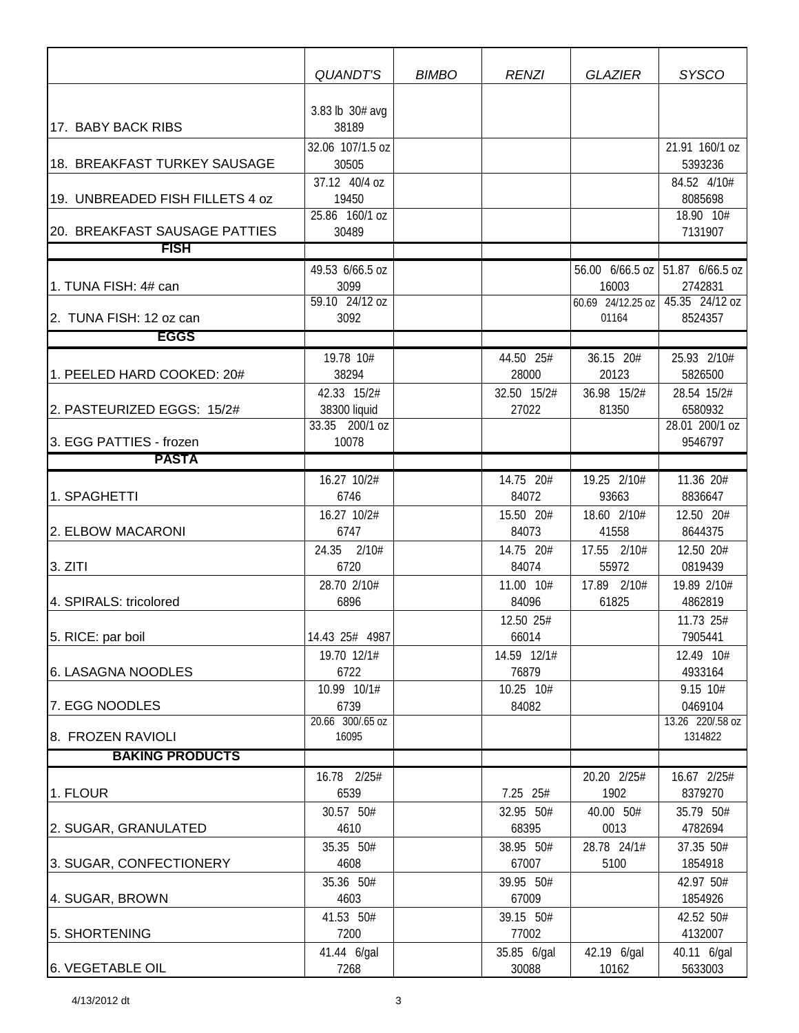|                                 | QUANDT'S                  | <b>BIMBO</b> | <b>RENZI</b>       | <b>GLAZIER</b>             | <b>SYSCO</b>                      |
|---------------------------------|---------------------------|--------------|--------------------|----------------------------|-----------------------------------|
|                                 |                           |              |                    |                            |                                   |
|                                 | 3.83 lb 30# avg           |              |                    |                            |                                   |
| 17. BABY BACK RIBS              | 38189                     |              |                    |                            |                                   |
|                                 | 32.06 107/1.5 oz<br>30505 |              |                    |                            | 21.91 160/1 oz<br>5393236         |
| 18. BREAKFAST TURKEY SAUSAGE    | 37.12 40/4 oz             |              |                    |                            | 84.52 4/10#                       |
| 19. UNBREADED FISH FILLETS 4 oz | 19450                     |              |                    |                            | 8085698                           |
|                                 | 25.86 160/1 oz            |              |                    |                            | 18.90 10#                         |
| 20. BREAKFAST SAUSAGE PATTIES   | 30489                     |              |                    |                            | 7131907                           |
| <b>FISH</b>                     |                           |              |                    |                            |                                   |
|                                 | 49.53 6/66.5 oz           |              |                    |                            | 56.00 6/66.5 oz   51.87 6/66.5 oz |
| 1. TUNA FISH: 4# can            | 3099                      |              |                    | 16003                      | 2742831                           |
| 2. TUNA FISH: 12 oz can         | 59.10 24/12 oz<br>3092    |              |                    | 60.69 24/12.25 oz<br>01164 | 45.35 24/12 oz<br>8524357         |
| <b>EGGS</b>                     |                           |              |                    |                            |                                   |
|                                 | 19.78 10#                 |              | 44.50 25#          | 36.15 20#                  | 25.93 2/10#                       |
| 1. PEELED HARD COOKED: 20#      | 38294                     |              | 28000              | 20123                      | 5826500                           |
|                                 | 42.33 15/2#               |              | 32.50 15/2#        | 36.98 15/2#                | 28.54 15/2#                       |
| 2. PASTEURIZED EGGS: 15/2#      | 38300 liquid              |              | 27022              | 81350                      | 6580932                           |
|                                 | 33.35 200/1 oz            |              |                    |                            | 28.01 200/1 oz                    |
| 3. EGG PATTIES - frozen         | 10078                     |              |                    |                            | 9546797                           |
| <b>PASTA</b>                    |                           |              |                    |                            |                                   |
|                                 | 16.27 10/2#               |              | 14.75 20#          | 19.25 2/10#                | 11.36 20#                         |
| 1. SPAGHETTI                    | 6746                      |              | 84072              | 93663                      | 8836647                           |
| 2. ELBOW MACARONI               | 16.27 10/2#<br>6747       |              | 15.50 20#<br>84073 | 18.60 2/10#<br>41558       | 12.50 20#<br>8644375              |
|                                 | 24.35 2/10#               |              | 14.75 20#          | 17.55 2/10#                | 12.50 20#                         |
| 3. ZITI                         | 6720                      |              | 84074              | 55972                      | 0819439                           |
|                                 | 28.70 2/10#               |              | 11.00 10#          | 17.89 2/10#                | 19.89 2/10#                       |
| 4. SPIRALS: tricolored          | 6896                      |              | 84096              | 61825                      | 4862819                           |
|                                 |                           |              | 12.50 25#          |                            | 11.73 25#                         |
| 5. RICE: par boil               | 14.43 25# 4987            |              | 66014              |                            | 7905441                           |
|                                 | 19.70 12/1#               |              | 14.59 12/1#        |                            | 12.49 10#                         |
| 6. LASAGNA NOODLES              | 6722<br>10.99 10/1#       |              | 76879<br>10.25 10# |                            | 4933164<br>9.15 10#               |
| 7. EGG NOODLES                  | 6739                      |              | 84082              |                            | 0469104                           |
|                                 | 20.66 300/.65 oz          |              |                    |                            | 13.26 220/.58 oz                  |
| 8. FROZEN RAVIOLI               | 16095                     |              |                    |                            | 1314822                           |
| <b>BAKING PRODUCTS</b>          |                           |              |                    |                            |                                   |
|                                 | 16.78 2/25#               |              |                    | 20.20 2/25#                | 16.67 2/25#                       |
| 1. FLOUR                        | 6539                      |              | 7.25 25#           | 1902                       | 8379270                           |
|                                 | 30.57 50#<br>4610         |              | 32.95 50#<br>68395 | 40.00 50#<br>0013          | 35.79 50#<br>4782694              |
| 2. SUGAR, GRANULATED            | 35.35 50#                 |              | 38.95 50#          | 28.78 24/1#                | 37.35 50#                         |
| 3. SUGAR, CONFECTIONERY         | 4608                      |              | 67007              | 5100                       | 1854918                           |
|                                 | 35.36 50#                 |              | 39.95 50#          |                            | 42.97 50#                         |
| 4. SUGAR, BROWN                 | 4603                      |              | 67009              |                            | 1854926                           |
|                                 | 41.53 50#                 |              | 39.15 50#          |                            | 42.52 50#                         |
| 5. SHORTENING                   | 7200                      |              | 77002              |                            | 4132007                           |
|                                 | 41.44 6/gal               |              | 35.85 6/gal        | 42.19 6/gal                | 40.11 6/gal                       |
| 6. VEGETABLE OIL                | 7268                      |              | 30088              | 10162                      | 5633003                           |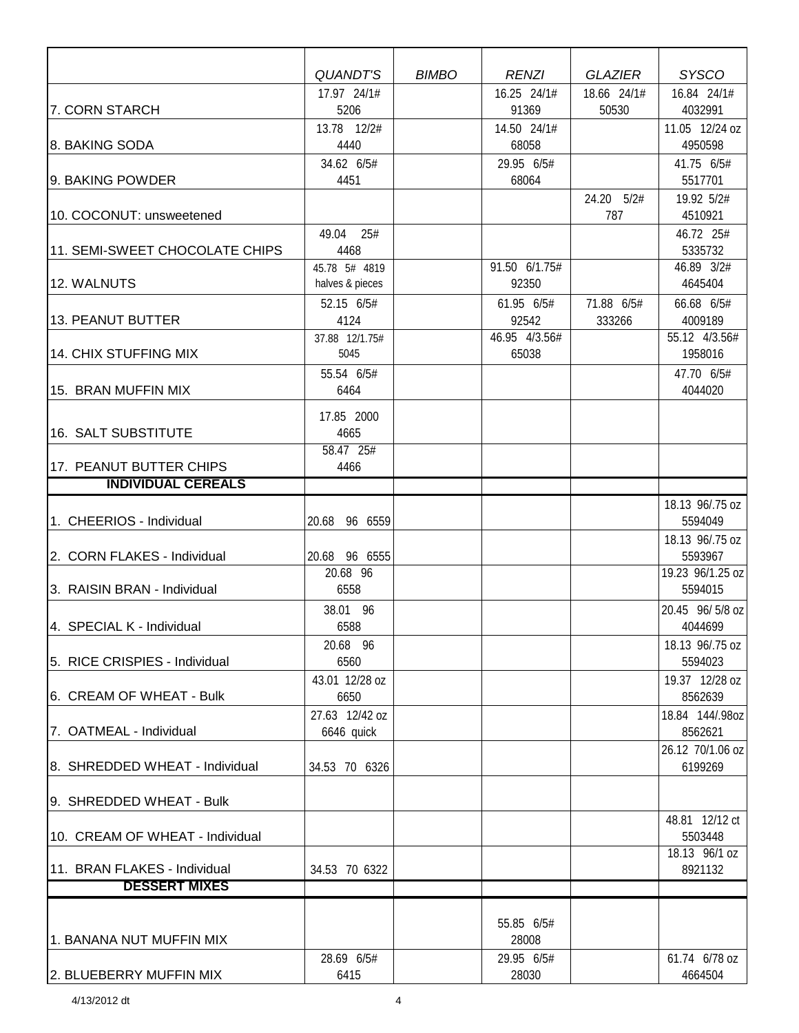|                                 | <b>QUANDT'S</b>    | <b>BIMBO</b> | <b>RENZI</b>        | <b>GLAZIER</b>    | <b>SYSCO</b>               |
|---------------------------------|--------------------|--------------|---------------------|-------------------|----------------------------|
|                                 | 17.97 24/1#        |              | 16.25 24/1#         | 18.66 24/1#       | 16.84 24/1#                |
| 7. CORN STARCH                  | 5206               |              | 91369               | 50530             | 4032991                    |
|                                 | 13.78 12/2#        |              | 14.50 24/1#         |                   | 11.05 12/24 oz             |
| 8. BAKING SODA                  | 4440               |              | 68058               |                   | 4950598                    |
|                                 | 34.62 6/5#         |              | 29.95 6/5#          |                   | 41.75 6/5#                 |
| 9. BAKING POWDER                | 4451               |              | 68064               |                   | 5517701                    |
| 10. COCONUT: unsweetened        |                    |              |                     | 24.20 5/2#<br>787 | 19.92 5/2#<br>4510921      |
|                                 | 49.04 25#          |              |                     |                   | 46.72 25#                  |
| 11. SEMI-SWEET CHOCOLATE CHIPS  | 4468               |              |                     |                   | 5335732                    |
|                                 | 45.78 5# 4819      |              | 91.50 6/1.75#       |                   | 46.89 3/2#                 |
| 12. WALNUTS                     | halves & pieces    |              | 92350               |                   | 4645404                    |
|                                 | 52.15 6/5#         |              | 61.95 6/5#          | 71.88 6/5#        | 66.68 6/5#                 |
| 13. PEANUT BUTTER               | 4124               |              | 92542               | 333266            | 4009189                    |
|                                 | 37.88 12/1.75#     |              | 46.95 4/3.56#       |                   | 55.12 4/3.56#              |
| 14. CHIX STUFFING MIX           | 5045               |              | 65038               |                   | 1958016                    |
|                                 | 55.54 6/5#         |              |                     |                   | 47.70 6/5#                 |
| 15. BRAN MUFFIN MIX             | 6464               |              |                     |                   | 4044020                    |
|                                 | 17.85 2000         |              |                     |                   |                            |
| 16. SALT SUBSTITUTE             | 4665               |              |                     |                   |                            |
|                                 | 58.47 25#          |              |                     |                   |                            |
| 17. PEANUT BUTTER CHIPS         | 4466               |              |                     |                   |                            |
| <b>INDIVIDUAL CEREALS</b>       |                    |              |                     |                   |                            |
|                                 |                    |              |                     |                   | 18.13 96/.75 oz            |
| 1. CHEERIOS - Individual        | 96 6559<br>20.68   |              |                     |                   | 5594049                    |
| 2. CORN FLAKES - Individual     | 20.68 96 6555      |              |                     |                   | 18.13 96/.75 oz<br>5593967 |
|                                 | 20.68 96           |              |                     |                   | 19.23 96/1.25 oz           |
| 3. RAISIN BRAN - Individual     | 6558               |              |                     |                   | 5594015                    |
|                                 | 38.01 96           |              |                     |                   | 20.45 96/5/8 oz            |
| 4. SPECIAL K - Individual       | 6588               |              |                     |                   | 4044699                    |
|                                 | 20.68 96           |              |                     |                   | 18.13 96/.75 oz            |
| 5. RICE CRISPIES - Individual   | 6560               |              |                     |                   | 5594023                    |
|                                 | 43.01 12/28 oz     |              |                     |                   | 19.37 12/28 oz             |
| 6. CREAM OF WHEAT - Bulk        | 6650               |              |                     |                   | 8562639                    |
|                                 | 27.63 12/42 oz     |              |                     |                   | 18.84 144/.98oz            |
| 7. OATMEAL - Individual         | 6646 quick         |              |                     |                   | 8562621                    |
|                                 |                    |              |                     |                   | 26.12 70/1.06 oz           |
| 8. SHREDDED WHEAT - Individual  | 34.53 70 6326      |              |                     |                   | 6199269                    |
| 9. SHREDDED WHEAT - Bulk        |                    |              |                     |                   |                            |
|                                 |                    |              |                     |                   | 48.81 12/12 ct             |
| 10. CREAM OF WHEAT - Individual |                    |              |                     |                   | 5503448                    |
|                                 |                    |              |                     |                   | 18.13 96/1 oz              |
| 11. BRAN FLAKES - Individual    | 34.53 70 6322      |              |                     |                   | 8921132                    |
| <b>DESSERT MIXES</b>            |                    |              |                     |                   |                            |
|                                 |                    |              |                     |                   |                            |
|                                 |                    |              | 55.85 6/5#          |                   |                            |
| 1. BANANA NUT MUFFIN MIX        |                    |              | 28008               |                   |                            |
| 2. BLUEBERRY MUFFIN MIX         | 28.69 6/5#<br>6415 |              | 29.95 6/5#<br>28030 |                   | 61.74 6/78 oz<br>4664504   |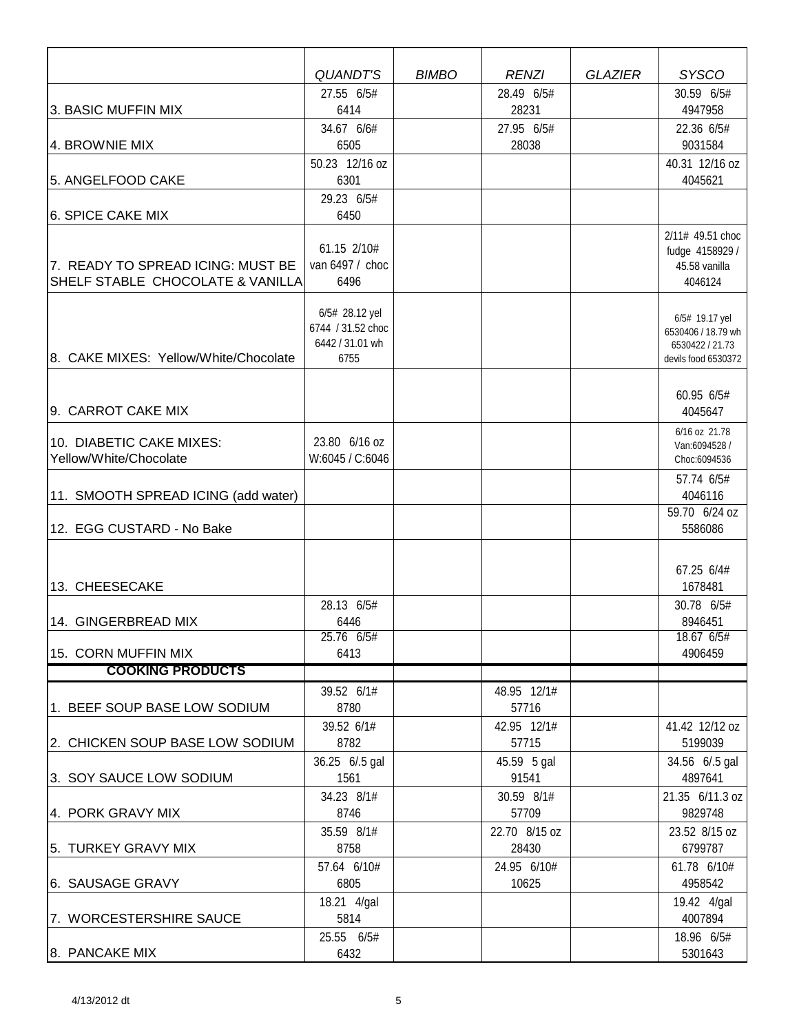|                                       | <b>QUANDT'S</b><br>27.55 6/5#        | <b>BIMBO</b> | <b>RENZI</b><br>28.49 6/5# | <b>GLAZIER</b> | <b>SYSCO</b><br>30.59 6/5#            |
|---------------------------------------|--------------------------------------|--------------|----------------------------|----------------|---------------------------------------|
| 3. BASIC MUFFIN MIX                   | 6414                                 |              | 28231                      |                | 4947958                               |
|                                       | 34.67 6/6#                           |              | 27.95 6/5#                 |                | 22.36 6/5#                            |
| 4. BROWNIE MIX                        | 6505                                 |              | 28038                      |                | 9031584                               |
|                                       | 50.23 12/16 oz                       |              |                            |                | 40.31 12/16 oz                        |
| 5. ANGELFOOD CAKE                     | 6301                                 |              |                            |                | 4045621                               |
|                                       | 29.23 6/5#                           |              |                            |                |                                       |
| 6. SPICE CAKE MIX                     | 6450                                 |              |                            |                |                                       |
|                                       | 61.15 2/10#                          |              |                            |                | 2/11# 49.51 choc                      |
| 7. READY TO SPREAD ICING: MUST BE     | van 6497 / choc                      |              |                            |                | fudge 4158929 /<br>45.58 vanilla      |
| SHELF STABLE CHOCOLATE & VANILLA      | 6496                                 |              |                            |                | 4046124                               |
|                                       |                                      |              |                            |                |                                       |
|                                       | 6/5# 28.12 yel                       |              |                            |                | 6/5# 19.17 yel                        |
|                                       | 6744 / 31.52 choc<br>6442 / 31.01 wh |              |                            |                | 6530406 / 18.79 wh<br>6530422 / 21.73 |
| 8. CAKE MIXES: Yellow/White/Chocolate | 6755                                 |              |                            |                | devils food 6530372                   |
|                                       |                                      |              |                            |                |                                       |
|                                       |                                      |              |                            |                | 60.95 6/5#                            |
| 9. CARROT CAKE MIX                    |                                      |              |                            |                | 4045647                               |
| 10. DIABETIC CAKE MIXES:              | 23.80 6/16 oz                        |              |                            |                | 6/16 oz 21.78                         |
| Yellow/White/Chocolate                | W:6045 / C:6046                      |              |                            |                | Van:6094528 /<br>Choc:6094536         |
|                                       |                                      |              |                            |                | 57.74 6/5#                            |
| 11. SMOOTH SPREAD ICING (add water)   |                                      |              |                            |                | 4046116                               |
|                                       |                                      |              |                            |                | 59.70 6/24 oz                         |
| 12. EGG CUSTARD - No Bake             |                                      |              |                            |                | 5586086                               |
|                                       |                                      |              |                            |                |                                       |
|                                       |                                      |              |                            |                | 67.25 6/4#                            |
| 13. CHEESECAKE                        |                                      |              |                            |                | 1678481                               |
|                                       | 28.13 6/5#                           |              |                            |                | 30.78 6/5#                            |
| 14. GINGERBREAD MIX                   | 6446<br>25.76 6/5#                   |              |                            |                | 8946451<br>18.67 6/5#                 |
| 15. CORN MUFFIN MIX                   | 6413                                 |              |                            |                | 4906459                               |
| <b>COOKING PRODUCTS</b>               |                                      |              |                            |                |                                       |
|                                       | 39.52 6/1#                           |              | 48.95 12/1#                |                |                                       |
| 1. BEEF SOUP BASE LOW SODIUM          | 8780                                 |              | 57716                      |                |                                       |
|                                       | 39.52 6/1#                           |              | 42.95 12/1#                |                | 41.42 12/12 oz                        |
| 2. CHICKEN SOUP BASE LOW SODIUM       | 8782                                 |              | 57715                      |                | 5199039                               |
|                                       | 36.25 6/.5 gal                       |              | 45.59 5 gal                |                | 34.56 6/.5 gal                        |
| 3. SOY SAUCE LOW SODIUM               | 1561                                 |              | 91541                      |                | 4897641                               |
| 4. PORK GRAVY MIX                     | 34.23 8/1#<br>8746                   |              | 30.59 8/1#<br>57709        |                | 21.35 6/11.3 oz<br>9829748            |
|                                       | 35.59 8/1#                           |              | 22.70 8/15 oz              |                | 23.52 8/15 oz                         |
| 5. TURKEY GRAVY MIX                   | 8758                                 |              | 28430                      |                | 6799787                               |
|                                       | 57.64 6/10#                          |              | 24.95 6/10#                |                | 61.78 6/10#                           |
| 6. SAUSAGE GRAVY                      | 6805                                 |              | 10625                      |                | 4958542                               |
|                                       | 18.21 4/gal                          |              |                            |                | 19.42 4/gal                           |
| 7. WORCESTERSHIRE SAUCE               | 5814                                 |              |                            |                | 4007894                               |
|                                       | 25.55 6/5#                           |              |                            |                | 18.96 6/5#                            |
| 8. PANCAKE MIX                        | 6432                                 |              |                            |                | 5301643                               |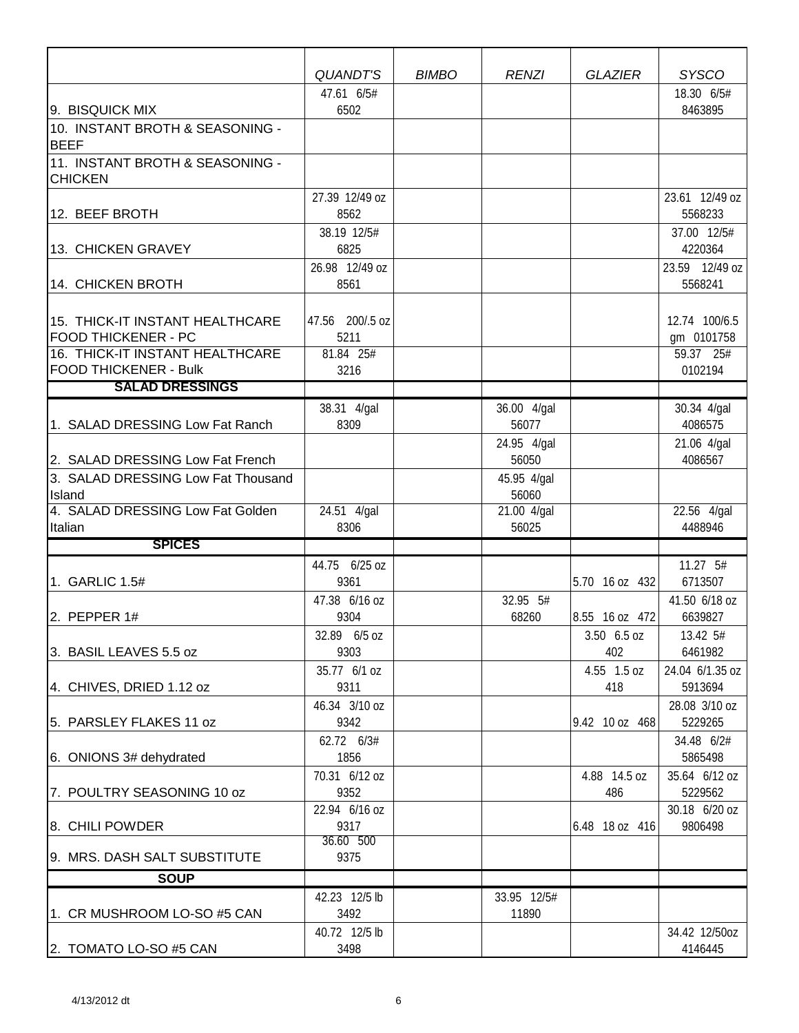|                                                   | <b>QUANDT'S</b>        | <b>BIMBO</b> | <b>RENZI</b>         | <b>GLAZIER</b>     | <b>SYSCO</b>               |
|---------------------------------------------------|------------------------|--------------|----------------------|--------------------|----------------------------|
|                                                   | 47.61 6/5#             |              |                      |                    | 18.30 6/5#                 |
| 9. BISQUICK MIX                                   | 6502                   |              |                      |                    | 8463895                    |
| 10. INSTANT BROTH & SEASONING -<br><b>BEEF</b>    |                        |              |                      |                    |                            |
| 11. INSTANT BROTH & SEASONING -<br><b>CHICKEN</b> |                        |              |                      |                    |                            |
|                                                   | 27.39 12/49 oz         |              |                      |                    | 23.61 12/49 oz             |
| 12. BEEF BROTH                                    | 8562                   |              |                      |                    | 5568233                    |
|                                                   | 38.19 12/5#            |              |                      |                    | 37.00 12/5#                |
| 13. CHICKEN GRAVEY                                | 6825                   |              |                      |                    | 4220364                    |
| 14. CHICKEN BROTH                                 | 26.98 12/49 oz<br>8561 |              |                      |                    | 23.59 12/49 oz<br>5568241  |
|                                                   |                        |              |                      |                    |                            |
| 15. THICK-IT INSTANT HEALTHCARE                   | 47.56 200/.5 oz        |              |                      |                    | 12.74 100/6.5              |
| <b>FOOD THICKENER - PC</b>                        | 5211                   |              |                      |                    | gm 0101758                 |
| 16. THICK-IT INSTANT HEALTHCARE                   | 81.84 25#              |              |                      |                    | 59.37 25#                  |
| <b>FOOD THICKENER - Bulk</b>                      | 3216                   |              |                      |                    | 0102194                    |
| <b>SALAD DRESSINGS</b>                            |                        |              |                      |                    |                            |
|                                                   | 38.31 4/gal            |              | 36.00 4/gal          |                    | 30.34 4/gal                |
| 1. SALAD DRESSING Low Fat Ranch                   | 8309                   |              | 56077                |                    | 4086575                    |
|                                                   |                        |              | 24.95 4/gal          |                    | 21.06 4/gal                |
| 2. SALAD DRESSING Low Fat French                  |                        |              | 56050                |                    | 4086567                    |
| 3. SALAD DRESSING Low Fat Thousand<br>Island      |                        |              | 45.95 4/gal<br>56060 |                    |                            |
| 4. SALAD DRESSING Low Fat Golden                  | 24.51 4/gal            |              | 21.00 4/gal          |                    | 22.56 4/gal                |
| Italian                                           | 8306                   |              | 56025                |                    | 4488946                    |
| <b>SPICES</b>                                     |                        |              |                      |                    |                            |
|                                                   | 44.75 6/25 oz          |              |                      |                    | 11.27 5#                   |
| 1. GARLIC 1.5#                                    | 9361                   |              |                      | 5.70 16 oz 432     | 6713507                    |
|                                                   | 47.38 6/16 oz          |              | 32.95 5#             |                    | 41.50 6/18 oz              |
| 2. PEPPER $1#$                                    | 9304                   |              | 68260                | 8.55 16 oz 472     | 6639827                    |
|                                                   | 32.89 6/5 oz           |              |                      | $3.50\;6.5$ oz     | 13.42 5#                   |
| 3. BASIL LEAVES 5.5 oz                            | 9303                   |              |                      | 402                | 6461982                    |
| 4. CHIVES, DRIED 1.12 oz                          | 35.77 6/1 oz<br>9311   |              |                      | 4.55 1.5 oz<br>418 | 24.04 6/1.35 oz<br>5913694 |
|                                                   | 46.34 3/10 oz          |              |                      |                    | 28.08 3/10 oz              |
| 5. PARSLEY FLAKES 11 oz                           | 9342                   |              |                      | 9.42 10 oz 468     | 5229265                    |
|                                                   | 62.72 6/3#             |              |                      |                    | 34.48 6/2#                 |
| 6. ONIONS 3# dehydrated                           | 1856                   |              |                      |                    | 5865498                    |
|                                                   | 70.31 6/12 oz          |              |                      | 4.88 14.5 oz       | 35.64 6/12 oz              |
| 7. POULTRY SEASONING 10 oz                        | 9352                   |              |                      | 486                | 5229562                    |
|                                                   | 22.94 6/16 oz          |              |                      |                    | 30.18 6/20 oz              |
| 8. CHILI POWDER                                   | 9317                   |              |                      | 6.48 18 oz 416     | 9806498                    |
| 9. MRS. DASH SALT SUBSTITUTE                      | 36.60 500<br>9375      |              |                      |                    |                            |
|                                                   |                        |              |                      |                    |                            |
| <b>SOUP</b>                                       | 42.23 12/5 lb          |              | 33.95 12/5#          |                    |                            |
| 1. CR MUSHROOM LO-SO #5 CAN                       | 3492                   |              | 11890                |                    |                            |
|                                                   | 40.72 12/5 lb          |              |                      |                    | 34.42 12/50oz              |
| 2. TOMATO LO-SO #5 CAN                            | 3498                   |              |                      |                    | 4146445                    |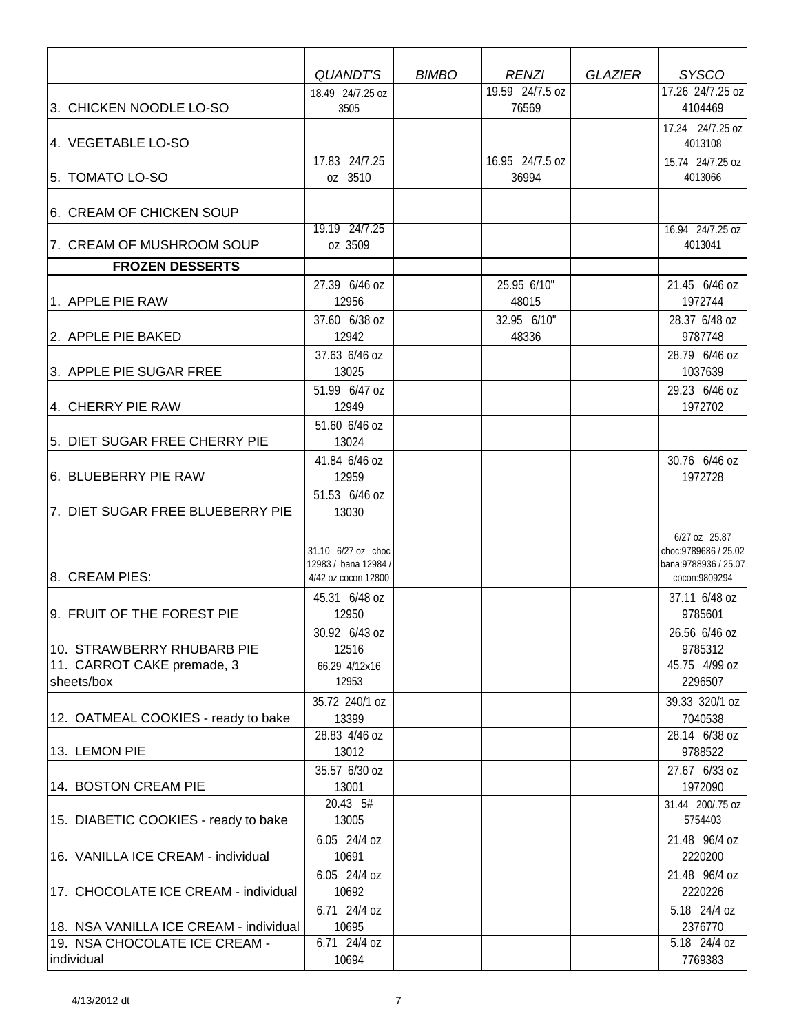|                                             | QUANDT'S                                                          | <b>BIMBO</b> | <b>RENZI</b>             | <b>GLAZIER</b> | <b>SYSCO</b>                                                                     |
|---------------------------------------------|-------------------------------------------------------------------|--------------|--------------------------|----------------|----------------------------------------------------------------------------------|
| 3. CHICKEN NOODLE LO-SO                     | 18.49 24/7.25 oz<br>3505                                          |              | 19.59 24/7.5 oz<br>76569 |                | 17.26 24/7.25 oz<br>4104469                                                      |
| 4. VEGETABLE LO-SO                          |                                                                   |              |                          |                | 17.24 24/7.25 oz<br>4013108                                                      |
| 5. TOMATO LO-SO                             | 17.83 24/7.25<br>oz 3510                                          |              | 16.95 24/7.5 oz<br>36994 |                | 15.74 24/7.25 oz<br>4013066                                                      |
| 6. CREAM OF CHICKEN SOUP                    |                                                                   |              |                          |                |                                                                                  |
| 7. CREAM OF MUSHROOM SOUP                   | 19.19 24/7.25<br>oz 3509                                          |              |                          |                | 16.94 24/7.25 oz<br>4013041                                                      |
| <b>FROZEN DESSERTS</b>                      |                                                                   |              |                          |                |                                                                                  |
| 1. APPLE PIE RAW                            | 27.39 6/46 oz<br>12956                                            |              | 25.95 6/10"<br>48015     |                | 21.45 6/46 oz<br>1972744                                                         |
| 2. APPLE PIE BAKED                          | 37.60 6/38 oz<br>12942                                            |              | 32.95 6/10"<br>48336     |                | 28.37 6/48 oz<br>9787748                                                         |
| 3. APPLE PIE SUGAR FREE                     | 37.63 6/46 oz<br>13025                                            |              |                          |                | 28.79 6/46 oz<br>1037639                                                         |
| 4. CHERRY PIE RAW                           | 51.99 6/47 oz<br>12949                                            |              |                          |                | 29.23 6/46 oz<br>1972702                                                         |
| 5. DIET SUGAR FREE CHERRY PIE               | 51.60 6/46 oz<br>13024<br>41.84 6/46 oz                           |              |                          |                | 30.76 6/46 oz                                                                    |
| 6. BLUEBERRY PIE RAW                        | 12959                                                             |              |                          |                | 1972728                                                                          |
| 7. DIET SUGAR FREE BLUEBERRY PIE            | 51.53 6/46 oz<br>13030                                            |              |                          |                |                                                                                  |
| 8. CREAM PIES:                              | 31.10 6/27 oz choc<br>12983 / bana 12984 /<br>4/42 oz cocon 12800 |              |                          |                | 6/27 oz 25.87<br>choc: 9789686 / 25.02<br>bana: 9788936 / 25.07<br>cocon:9809294 |
| 9. FRUIT OF THE FOREST PIE                  | 45.31 6/48 oz<br>12950                                            |              |                          |                | 37.11 6/48 oz<br>9785601                                                         |
|                                             | 30.92 6/43 oz                                                     |              |                          |                | 26.56 6/46 oz                                                                    |
| 10. STRAWBERRY RHUBARB PIE                  | 12516                                                             |              |                          |                | 9785312                                                                          |
| 11. CARROT CAKE premade, 3<br>sheets/box    | 66.29 4/12x16<br>12953                                            |              |                          |                | 45.75 4/99 oz<br>2296507                                                         |
| 12. OATMEAL COOKIES - ready to bake         | 35.72 240/1 oz<br>13399<br>28.83 4/46 oz                          |              |                          |                | 39.33 320/1 oz<br>7040538<br>28.14 6/38 oz                                       |
| 13. LEMON PIE                               | 13012                                                             |              |                          |                | 9788522                                                                          |
| 14. BOSTON CREAM PIE                        | 35.57 6/30 oz<br>13001<br>20.43 5#                                |              |                          |                | 27.67 6/33 oz<br>1972090<br>31.44 200/.75 oz                                     |
| 15. DIABETIC COOKIES - ready to bake        | 13005                                                             |              |                          |                | 5754403                                                                          |
| 16. VANILLA ICE CREAM - individual          | 6.05 24/4 oz<br>10691                                             |              |                          |                | 21.48 96/4 oz<br>2220200                                                         |
| 17. CHOCOLATE ICE CREAM - individual        | 6.05 24/4 oz<br>10692                                             |              |                          |                | 21.48 96/4 oz<br>2220226                                                         |
| 18. NSA VANILLA ICE CREAM - individual      | 6.71 24/4 oz<br>10695                                             |              |                          |                | 5.18 24/4 oz<br>2376770                                                          |
| 19. NSA CHOCOLATE ICE CREAM -<br>individual | 6.71 24/4 oz<br>10694                                             |              |                          |                | 5.18 24/4 oz<br>7769383                                                          |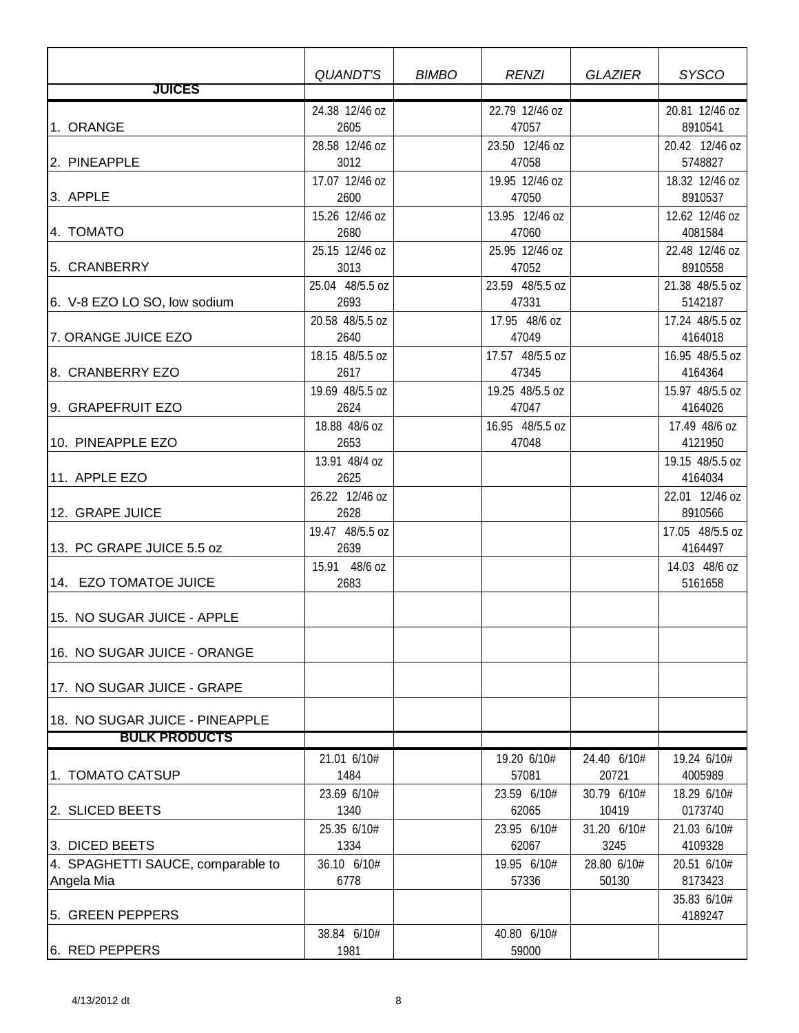|                                                 | QUANDT'S                | <b>BIMBO</b> | <b>RENZI</b>             | <b>GLAZIER</b>       | <b>SYSCO</b>               |
|-------------------------------------------------|-------------------------|--------------|--------------------------|----------------------|----------------------------|
| <b>JUICES</b>                                   |                         |              |                          |                      |                            |
| 1. ORANGE                                       | 24.38 12/46 oz<br>2605  |              | 22.79 12/46 oz<br>47057  |                      | 20.81 12/46 oz<br>8910541  |
| 2. PINEAPPLE                                    | 28.58 12/46 oz<br>3012  |              | 23.50 12/46 oz<br>47058  |                      | 20.42 12/46 oz<br>5748827  |
| 3. APPLE                                        | 17.07 12/46 oz<br>2600  |              | 19.95 12/46 oz<br>47050  |                      | 18.32 12/46 oz<br>8910537  |
| 4. TOMATO                                       | 15.26 12/46 oz<br>2680  |              | 13.95 12/46 oz<br>47060  |                      | 12.62 12/46 oz<br>4081584  |
|                                                 | 25.15 12/46 oz          |              | 25.95 12/46 oz           |                      | 22.48 12/46 oz             |
| 5. CRANBERRY                                    | 3013<br>25.04 48/5.5 oz |              | 47052<br>23.59 48/5.5 oz |                      | 8910558<br>21.38 48/5.5 oz |
| 6. V-8 EZO LO SO, low sodium                    | 2693                    |              | 47331                    |                      | 5142187                    |
| 7. ORANGE JUICE EZO                             | 20.58 48/5.5 oz<br>2640 |              | 17.95 48/6 oz<br>47049   |                      | 17.24 48/5.5 oz<br>4164018 |
| 8. CRANBERRY EZO                                | 18.15 48/5.5 oz<br>2617 |              | 17.57 48/5.5 oz<br>47345 |                      | 16.95 48/5.5 oz<br>4164364 |
| 9. GRAPEFRUIT EZO                               | 19.69 48/5.5 oz<br>2624 |              | 19.25 48/5.5 oz<br>47047 |                      | 15.97 48/5.5 oz<br>4164026 |
| 10. PINEAPPLE EZO                               | 18.88 48/6 oz<br>2653   |              | 16.95 48/5.5 oz<br>47048 |                      | 17.49 48/6 oz<br>4121950   |
| 11. APPLE EZO                                   | 13.91 48/4 oz<br>2625   |              |                          |                      | 19.15 48/5.5 oz<br>4164034 |
| 12. GRAPE JUICE                                 | 26.22 12/46 oz<br>2628  |              |                          |                      | 22.01 12/46 oz<br>8910566  |
| 13. PC GRAPE JUICE 5.5 oz                       | 19.47 48/5.5 oz<br>2639 |              |                          |                      | 17.05 48/5.5 oz<br>4164497 |
| 14. EZO TOMATOE JUICE                           | 15.91 48/6 oz<br>2683   |              |                          |                      | 14.03 48/6 oz<br>5161658   |
| 15. NO SUGAR JUICE - APPLE                      |                         |              |                          |                      |                            |
| 16. NO SUGAR JUICE - ORANGE                     |                         |              |                          |                      |                            |
| 17. NO SUGAR JUICE - GRAPE                      |                         |              |                          |                      |                            |
| 18. NO SUGAR JUICE - PINEAPPLE                  |                         |              |                          |                      |                            |
| <b>BULK PRODUCTS</b>                            |                         |              |                          |                      |                            |
| 1. TOMATO CATSUP                                | 21.01 6/10#<br>1484     |              | 19.20 6/10#<br>57081     | 24.40 6/10#<br>20721 | 19.24 6/10#<br>4005989     |
| 2. SLICED BEETS                                 | 23.69 6/10#<br>1340     |              | 23.59 6/10#<br>62065     | 30.79 6/10#<br>10419 | 18.29 6/10#<br>0173740     |
| 3. DICED BEETS                                  | 25.35 6/10#<br>1334     |              | 23.95 6/10#<br>62067     | 31.20 6/10#<br>3245  | 21.03 6/10#<br>4109328     |
| 4. SPAGHETTI SAUCE, comparable to<br>Angela Mia | 36.10 6/10#<br>6778     |              | 19.95 6/10#<br>57336     | 28.80 6/10#<br>50130 | 20.51 6/10#<br>8173423     |
| 5. GREEN PEPPERS                                |                         |              |                          |                      | 35.83 6/10#<br>4189247     |
| 6. RED PEPPERS                                  | 38.84 6/10#<br>1981     |              | 40.80 6/10#<br>59000     |                      |                            |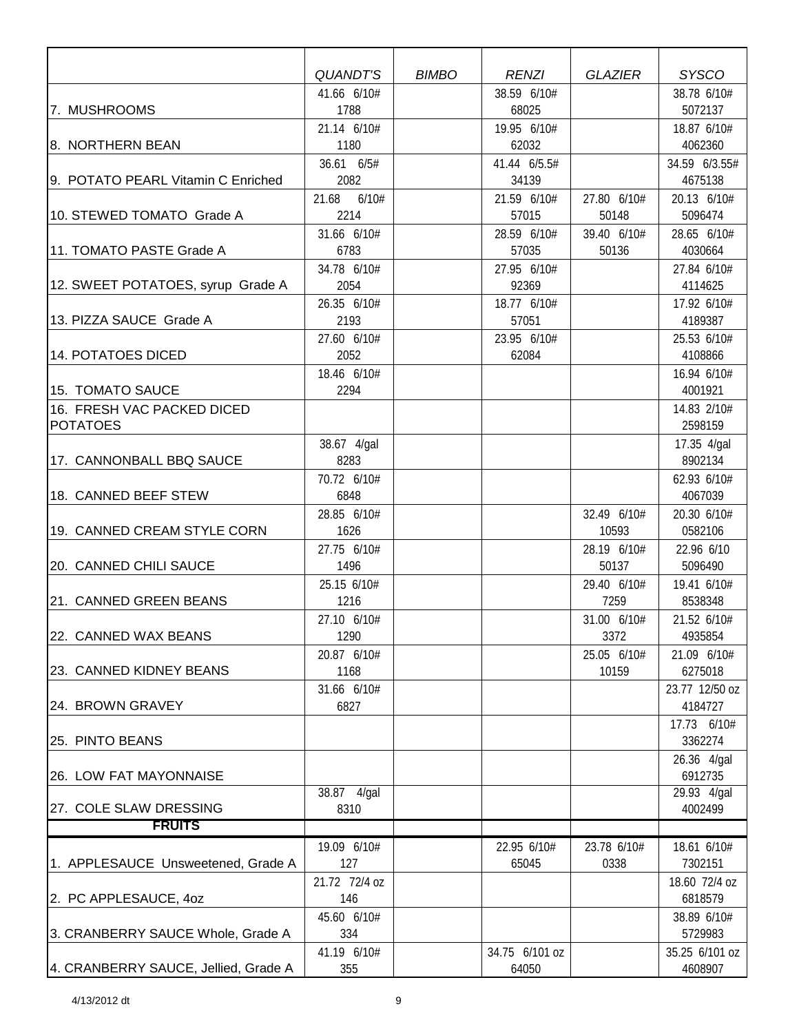|                                      | <b>QUANDT'S</b>     | <b>BIMBO</b> | <b>RENZI</b>         | <b>GLAZIER</b>       | <b>SYSCO</b>           |
|--------------------------------------|---------------------|--------------|----------------------|----------------------|------------------------|
|                                      | 41.66 6/10#         |              | 38.59 6/10#          |                      | 38.78 6/10#            |
| 7. MUSHROOMS                         | 1788                |              | 68025                |                      | 5072137                |
|                                      | 21.14 6/10#         |              | 19.95 6/10#          |                      | 18.87 6/10#            |
| 8. NORTHERN BEAN                     | 1180                |              | 62032                |                      | 4062360                |
|                                      | 36.61 6/5#          |              | 41.44 6/5.5#         |                      | 34.59 6/3.55#          |
| 9. POTATO PEARL Vitamin C Enriched   | 2082                |              | 34139                |                      | 4675138                |
| 10. STEWED TOMATO Grade A            | 21.68 6/10#<br>2214 |              | 21.59 6/10#<br>57015 | 27.80 6/10#<br>50148 | 20.13 6/10#<br>5096474 |
|                                      | 31.66 6/10#         |              | 28.59 6/10#          | 39.40 6/10#          | 28.65 6/10#            |
| 11. TOMATO PASTE Grade A             | 6783                |              | 57035                | 50136                | 4030664                |
|                                      | 34.78 6/10#         |              | 27.95 6/10#          |                      | 27.84 6/10#            |
| 12. SWEET POTATOES, syrup Grade A    | 2054                |              | 92369                |                      | 4114625                |
|                                      | 26.35 6/10#         |              | 18.77 6/10#          |                      | 17.92 6/10#            |
| 13. PIZZA SAUCE Grade A              | 2193                |              | 57051                |                      | 4189387                |
|                                      | 27.60 6/10#         |              | 23.95 6/10#          |                      | 25.53 6/10#            |
| <b>14. POTATOES DICED</b>            | 2052                |              | 62084                |                      | 4108866                |
|                                      | 18.46 6/10#         |              |                      |                      | 16.94 6/10#            |
| 15. TOMATO SAUCE                     | 2294                |              |                      |                      | 4001921                |
| 16. FRESH VAC PACKED DICED           |                     |              |                      |                      | 14.83 2/10#            |
| <b>POTATOES</b>                      |                     |              |                      |                      | 2598159                |
|                                      | 38.67 4/gal         |              |                      |                      | 17.35 4/gal            |
| 17. CANNONBALL BBQ SAUCE             | 8283                |              |                      |                      | 8902134                |
| 18. CANNED BEEF STEW                 | 70.72 6/10#<br>6848 |              |                      |                      | 62.93 6/10#<br>4067039 |
|                                      | 28.85 6/10#         |              |                      | 32.49 6/10#          | 20.30 6/10#            |
| 19. CANNED CREAM STYLE CORN          | 1626                |              |                      | 10593                | 0582106                |
|                                      | 27.75 6/10#         |              |                      | 28.19 6/10#          | 22.96 6/10             |
| 20. CANNED CHILI SAUCE               | 1496                |              |                      | 50137                | 5096490                |
|                                      | 25.15 6/10#         |              |                      | 29.40 6/10#          | 19.41 6/10#            |
| 21. CANNED GREEN BEANS               | 1216                |              |                      | 7259                 | 8538348                |
|                                      | 27.10 6/10#         |              |                      | 31.00 6/10#          | 21.52 6/10#            |
| 22. CANNED WAX BEANS                 | 1290                |              |                      | 3372                 | 4935854                |
|                                      | 20.87 6/10#         |              |                      | 25.05 6/10#          | 21.09 6/10#            |
| 23. CANNED KIDNEY BEANS              | 1168                |              |                      | 10159                | 6275018                |
|                                      | 31.66 6/10#         |              |                      |                      | 23.77 12/50 oz         |
| 24. BROWN GRAVEY                     | 6827                |              |                      |                      | 4184727                |
|                                      |                     |              |                      |                      | 17.73 6/10#            |
| 25. PINTO BEANS                      |                     |              |                      |                      | 3362274                |
| 26. LOW FAT MAYONNAISE               |                     |              |                      |                      | 26.36 4/gal<br>6912735 |
|                                      | 38.87 4/gal         |              |                      |                      | 29.93 4/gal            |
| 27. COLE SLAW DRESSING               | 8310                |              |                      |                      | 4002499                |
| <b>FRUITS</b>                        |                     |              |                      |                      |                        |
|                                      | 19.09 6/10#         |              | 22.95 6/10#          | 23.78 6/10#          | 18.61 6/10#            |
| 1. APPLESAUCE Unsweetened, Grade A   | 127                 |              | 65045                | 0338                 | 7302151                |
|                                      | 21.72 72/4 oz       |              |                      |                      | 18.60 72/4 oz          |
| 2. PC APPLESAUCE, 40Z                | 146                 |              |                      |                      | 6818579                |
|                                      | 45.60 6/10#         |              |                      |                      | 38.89 6/10#            |
| 3. CRANBERRY SAUCE Whole, Grade A    | 334                 |              |                      |                      | 5729983                |
|                                      | 41.19 6/10#         |              | 34.75 6/101 oz       |                      | 35.25 6/101 oz         |
| 4. CRANBERRY SAUCE, Jellied, Grade A | 355                 |              | 64050                |                      | 4608907                |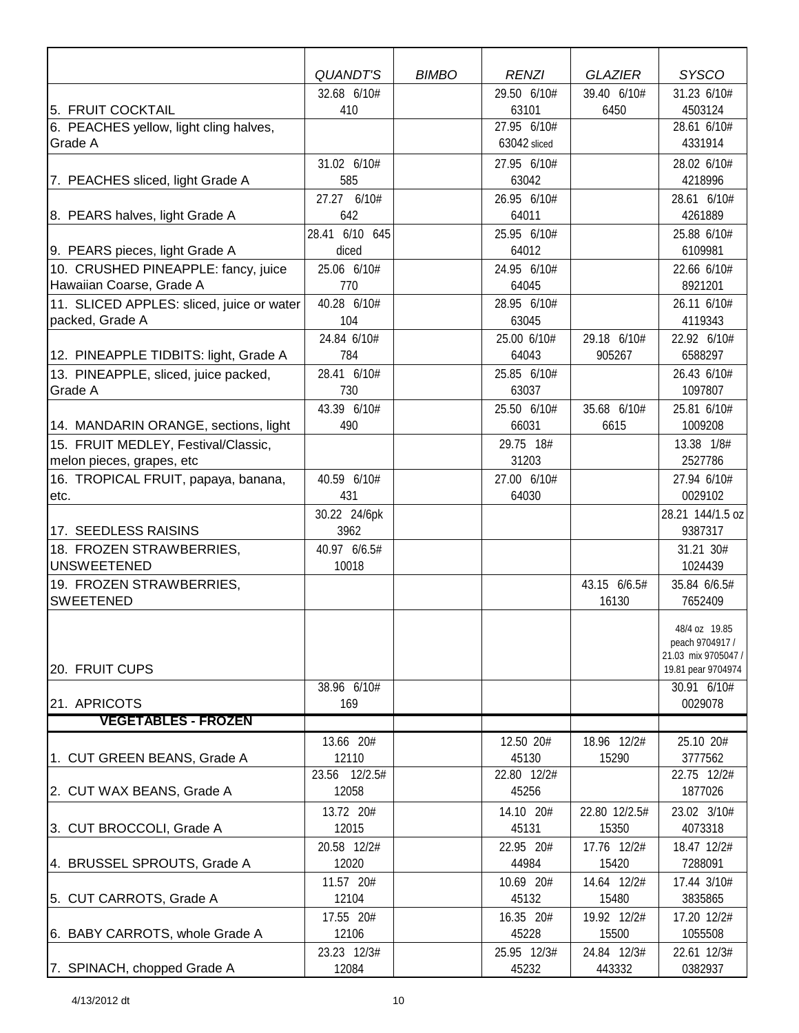|                                                                 | <b>QUANDT'S</b>         | <b>BIMBO</b> | <b>RENZI</b>         | <b>GLAZIER</b> | <b>SYSCO</b>           |
|-----------------------------------------------------------------|-------------------------|--------------|----------------------|----------------|------------------------|
|                                                                 | 32.68 6/10#             |              | 29.50 6/10#          | 39.40 6/10#    | 31.23 6/10#            |
| 5. FRUIT COCKTAIL                                               | 410                     |              | 63101                | 6450           | 4503124                |
| 6. PEACHES yellow, light cling halves,                          |                         |              | 27.95 6/10#          |                | 28.61 6/10#<br>4331914 |
| Grade A                                                         |                         |              | 63042 sliced         |                |                        |
|                                                                 | 31.02 6/10#             |              | 27.95 6/10#          |                | 28.02 6/10#            |
| 7. PEACHES sliced, light Grade A                                | 585                     |              | 63042                |                | 4218996                |
|                                                                 | 27.27 6/10#             |              | 26.95 6/10#          |                | 28.61 6/10#            |
| 8. PEARS halves, light Grade A                                  | 642                     |              | 64011                |                | 4261889                |
|                                                                 | 28.41 6/10 645<br>diced |              | 25.95 6/10#<br>64012 |                | 25.88 6/10#<br>6109981 |
| 9. PEARS pieces, light Grade A                                  | 25.06 6/10#             |              | 24.95 6/10#          |                | 22.66 6/10#            |
| 10. CRUSHED PINEAPPLE: fancy, juice<br>Hawaiian Coarse, Grade A | 770                     |              | 64045                |                | 8921201                |
| 11. SLICED APPLES: sliced, juice or water                       | 40.28 6/10#             |              | 28.95 6/10#          |                | 26.11 6/10#            |
| packed, Grade A                                                 | 104                     |              | 63045                |                | 4119343                |
|                                                                 | 24.84 6/10#             |              | 25.00 6/10#          | 29.18 6/10#    | 22.92 6/10#            |
| 12. PINEAPPLE TIDBITS: light, Grade A                           | 784                     |              | 64043                | 905267         | 6588297                |
| 13. PINEAPPLE, sliced, juice packed,                            | 28.41 6/10#             |              | 25.85 6/10#          |                | 26.43 6/10#            |
| Grade A                                                         | 730                     |              | 63037                |                | 1097807                |
|                                                                 | 43.39 6/10#             |              | 25.50 6/10#          | 35.68 6/10#    | 25.81 6/10#            |
| 14. MANDARIN ORANGE, sections, light                            | 490                     |              | 66031                | 6615           | 1009208                |
| 15. FRUIT MEDLEY, Festival/Classic,                             |                         |              | 29.75 18#            |                | 13.38 1/8#             |
| melon pieces, grapes, etc                                       |                         |              | 31203                |                | 2527786                |
| 16. TROPICAL FRUIT, papaya, banana,                             | 40.59 6/10#             |              | 27.00 6/10#          |                | 27.94 6/10#            |
| etc.                                                            | 431                     |              | 64030                |                | 0029102                |
|                                                                 | 30.22 24/6pk            |              |                      |                | 28.21 144/1.5 oz       |
| 17. SEEDLESS RAISINS                                            | 3962                    |              |                      |                | 9387317                |
| 18. FROZEN STRAWBERRIES,                                        | 40.97 6/6.5#            |              |                      |                | 31.21 30#              |
| <b>UNSWEETENED</b>                                              | 10018                   |              |                      |                | 1024439                |
| 19. FROZEN STRAWBERRIES,                                        |                         |              |                      | 43.15 6/6.5#   | 35.84 6/6.5#           |
| <b>SWEETENED</b>                                                |                         |              |                      | 16130          | 7652409                |
|                                                                 |                         |              |                      |                | 48/4 oz 19.85          |
|                                                                 |                         |              |                      |                | peach 9704917 /        |
|                                                                 |                         |              |                      |                | 21.03 mix 9705047 /    |
| 20. FRUIT CUPS                                                  |                         |              |                      |                | 19.81 pear 9704974     |
|                                                                 | 38.96 6/10#             |              |                      |                | 30.91 6/10#<br>0029078 |
| 21. APRICOTS<br><b>VEGETABLES - FROZEN</b>                      | 169                     |              |                      |                |                        |
|                                                                 |                         |              |                      | 18.96 12/2#    |                        |
| 1. CUT GREEN BEANS, Grade A                                     | 13.66 20#<br>12110      |              | 12.50 20#<br>45130   | 15290          | 25.10 20#<br>3777562   |
|                                                                 | 23.56 12/2.5#           |              | 22.80 12/2#          |                | 22.75 12/2#            |
| 2. CUT WAX BEANS, Grade A                                       | 12058                   |              | 45256                |                | 1877026                |
|                                                                 | 13.72 20#               |              | 14.10 20#            | 22.80 12/2.5#  | 23.02 3/10#            |
| 3. CUT BROCCOLI, Grade A                                        | 12015                   |              | 45131                | 15350          | 4073318                |
|                                                                 | 20.58 12/2#             |              | 22.95 20#            | 17.76 12/2#    | 18.47 12/2#            |
| 4. BRUSSEL SPROUTS, Grade A                                     | 12020                   |              | 44984                | 15420          | 7288091                |
|                                                                 | 11.57 20#               |              | 10.69 20#            | 14.64 12/2#    | 17.44 3/10#            |
| 5. CUT CARROTS, Grade A                                         | 12104                   |              | 45132                | 15480          | 3835865                |
|                                                                 | 17.55 20#               |              | 16.35 20#            | 19.92 12/2#    | 17.20 12/2#            |
| 6. BABY CARROTS, whole Grade A                                  | 12106                   |              | 45228                | 15500          | 1055508                |
|                                                                 | 23.23 12/3#             |              | 25.95 12/3#          | 24.84 12/3#    | 22.61 12/3#            |
| 7. SPINACH, chopped Grade A                                     | 12084                   |              | 45232                | 443332         | 0382937                |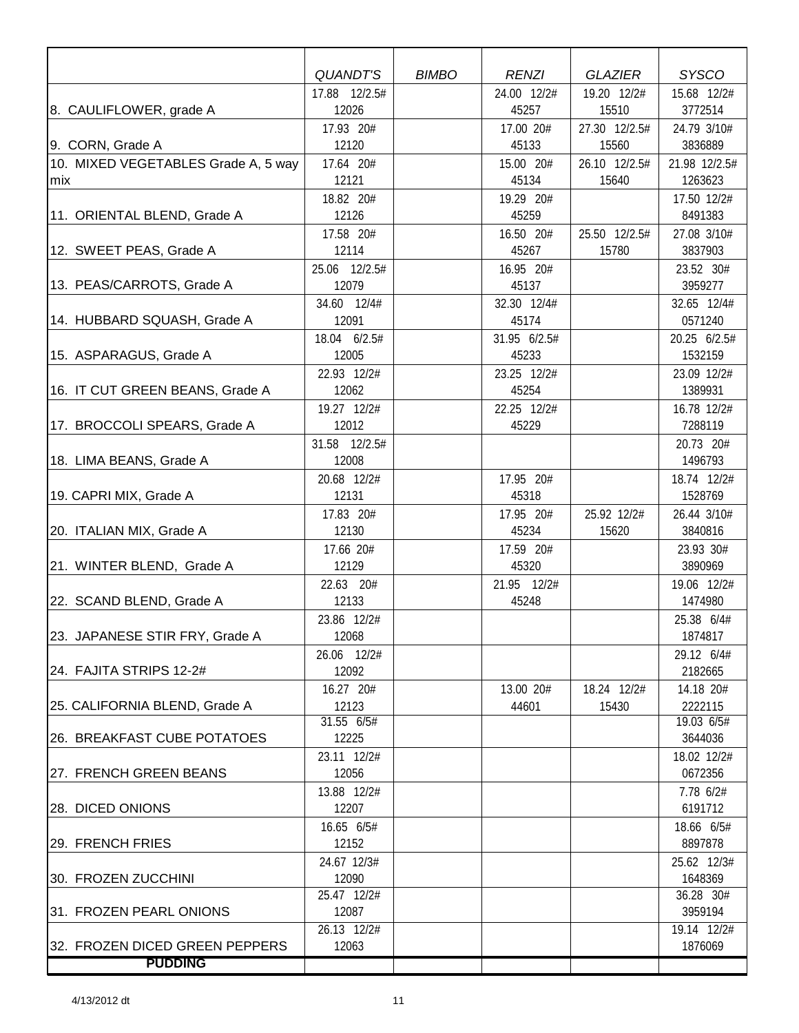|                                     | QUANDT'S            | <b>BIMBO</b> | <b>RENZI</b> | <b>GLAZIER</b> | <b>SYSCO</b>          |
|-------------------------------------|---------------------|--------------|--------------|----------------|-----------------------|
|                                     | 17.88 12/2.5#       |              | 24.00 12/2#  | 19.20 12/2#    | 15.68 12/2#           |
| 8. CAULIFLOWER, grade A             | 12026               |              | 45257        | 15510          | 3772514               |
|                                     | 17.93 20#           |              | 17.00 20#    | 27.30 12/2.5#  | 24.79 3/10#           |
| 9. CORN, Grade A                    | 12120               |              | 45133        | 15560          | 3836889               |
| 10. MIXED VEGETABLES Grade A, 5 way | 17.64 20#           |              | 15.00 20#    | 26.10 12/2.5#  | 21.98 12/2.5#         |
| mix                                 | 12121               |              | 45134        | 15640          | 1263623               |
|                                     | 18.82 20#           |              | 19.29 20#    |                | 17.50 12/2#           |
| 11. ORIENTAL BLEND, Grade A         | 12126               |              | 45259        |                | 8491383               |
|                                     | 17.58 20#           |              | 16.50 20#    | 25.50 12/2.5#  | 27.08 3/10#           |
| 12. SWEET PEAS, Grade A             | 12114               |              | 45267        | 15780          | 3837903               |
|                                     | 25.06 12/2.5#       |              | 16.95 20#    |                | 23.52 30#             |
| 13. PEAS/CARROTS, Grade A           | 12079               |              | 45137        |                | 3959277               |
|                                     | 34.60 12/4#         |              | 32.30 12/4#  |                | 32.65 12/4#           |
| 14. HUBBARD SQUASH, Grade A         | 12091               |              | 45174        |                | 0571240               |
|                                     | 18.04 6/2.5#        |              | 31.95 6/2.5# |                | 20.25 6/2.5#          |
| 15. ASPARAGUS, Grade A              | 12005               |              | 45233        |                | 1532159               |
|                                     | 22.93 12/2#         |              | 23.25 12/2#  |                | 23.09 12/2#           |
| 16. IT CUT GREEN BEANS, Grade A     | 12062               |              | 45254        |                | 1389931               |
|                                     | 19.27 12/2#         |              | 22.25 12/2#  |                | 16.78 12/2#           |
| 17. BROCCOLI SPEARS, Grade A        | 12012               |              | 45229        |                | 7288119               |
|                                     | 31.58 12/2.5#       |              |              |                | 20.73 20#             |
| 18. LIMA BEANS, Grade A             | 12008               |              |              |                | 1496793               |
|                                     | 20.68 12/2#         |              | 17.95 20#    |                | 18.74 12/2#           |
| 19. CAPRI MIX, Grade A              | 12131               |              | 45318        |                | 1528769               |
|                                     | 17.83 20#           |              | 17.95 20#    | 25.92 12/2#    | 26.44 3/10#           |
| 20. ITALIAN MIX, Grade A            | 12130               |              | 45234        | 15620          | 3840816               |
|                                     | 17.66 20#           |              | 17.59 20#    |                | 23.93 30#             |
| 21. WINTER BLEND, Grade A           | 12129               |              | 45320        |                | 3890969               |
|                                     | 22.63 20#           |              | 21.95 12/2#  |                | 19.06 12/2#           |
| 22. SCAND BLEND, Grade A            | 12133               |              | 45248        |                | 1474980               |
|                                     | 23.86 12/2#         |              |              |                | 25.38 6/4#            |
| 23. JAPANESE STIR FRY, Grade A      | 12068               |              |              |                | 1874817               |
|                                     | 26.06 12/2#         |              |              |                | 29.12 6/4#            |
| 24. FAJITA STRIPS 12-2#             | 12092               |              |              |                | 2182665               |
|                                     | 16.27 20#           |              | 13.00 20#    | 18.24 12/2#    | 14.18 20#             |
| 25. CALIFORNIA BLEND, Grade A       | 12123<br>31.55 6/5# |              | 44601        | 15430          | 2222115<br>19.03 6/5# |
| 26. BREAKFAST CUBE POTATOES         | 12225               |              |              |                | 3644036               |
|                                     | 23.11 12/2#         |              |              |                | 18.02 12/2#           |
| 27. FRENCH GREEN BEANS              | 12056               |              |              |                | 0672356               |
|                                     | 13.88 12/2#         |              |              |                | 7.78 6/2#             |
| <b>28. DICED ONIONS</b>             | 12207               |              |              |                | 6191712               |
|                                     | 16.65 6/5#          |              |              |                | 18.66 6/5#            |
| 29. FRENCH FRIES                    | 12152               |              |              |                | 8897878               |
|                                     | 24.67 12/3#         |              |              |                | 25.62 12/3#           |
| 30. FROZEN ZUCCHINI                 | 12090               |              |              |                | 1648369               |
|                                     | 25.47 12/2#         |              |              |                | 36.28 30#             |
| 31. FROZEN PEARL ONIONS             | 12087               |              |              |                | 3959194               |
|                                     | $26.13$ 12/2#       |              |              |                | 19.14 12/2#           |
| 32. FROZEN DICED GREEN PEPPERS      | 12063               |              |              |                | 1876069               |
| <b>PUDDING</b>                      |                     |              |              |                |                       |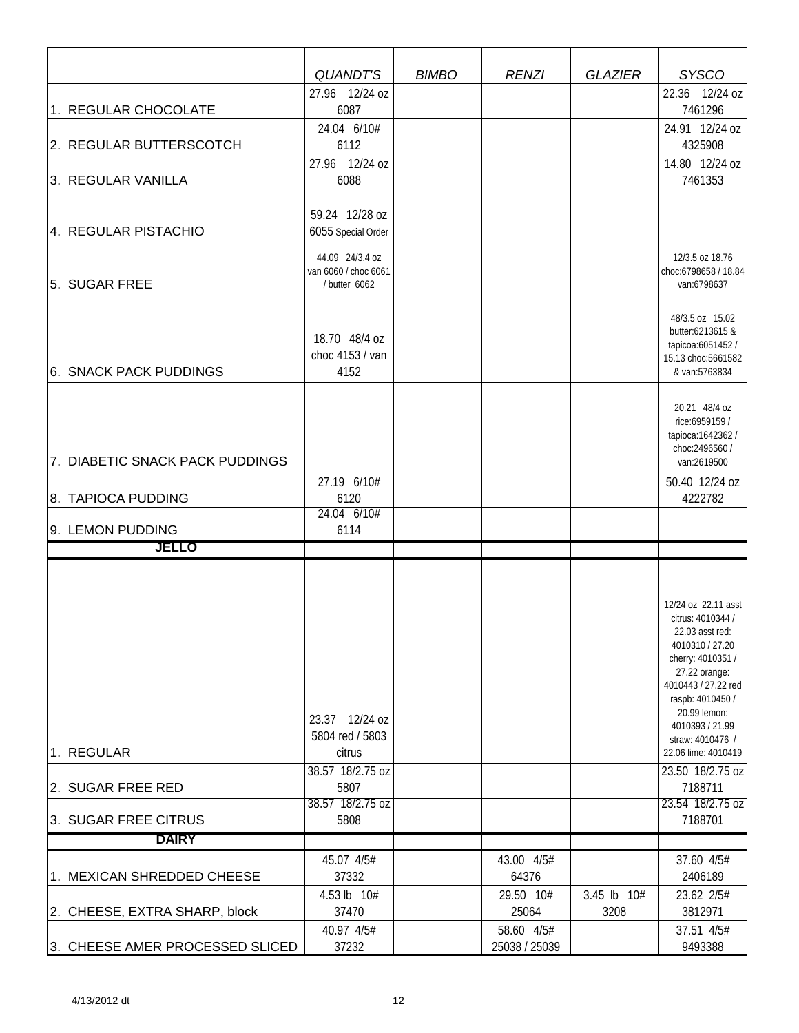|                                 | QUANDT'S                                                 | <b>BIMBO</b> | <b>RENZI</b>                | <b>GLAZIER</b> | <b>SYSCO</b>                                                                                                                                                                                                                                  |
|---------------------------------|----------------------------------------------------------|--------------|-----------------------------|----------------|-----------------------------------------------------------------------------------------------------------------------------------------------------------------------------------------------------------------------------------------------|
|                                 | 27.96 12/24 oz                                           |              |                             |                | 22.36 12/24 oz                                                                                                                                                                                                                                |
| 1. REGULAR CHOCOLATE            | 6087                                                     |              |                             |                | 7461296                                                                                                                                                                                                                                       |
| 2. REGULAR BUTTERSCOTCH         | 24.04 6/10#<br>6112                                      |              |                             |                | 24.91 12/24 oz<br>4325908                                                                                                                                                                                                                     |
| 3. REGULAR VANILLA              | 27.96 12/24 oz<br>6088                                   |              |                             |                | 14.80 12/24 oz<br>7461353                                                                                                                                                                                                                     |
|                                 | 59.24 12/28 oz                                           |              |                             |                |                                                                                                                                                                                                                                               |
| 4. REGULAR PISTACHIO            | 6055 Special Order                                       |              |                             |                |                                                                                                                                                                                                                                               |
| 5. SUGAR FREE                   | 44.09 24/3.4 oz<br>van 6060 / choc 6061<br>/ butter 6062 |              |                             |                | 12/3.5 oz 18.76<br>choc:6798658 / 18.84<br>van:6798637                                                                                                                                                                                        |
| <b>6. SNACK PACK PUDDINGS</b>   | 18.70 48/4 oz<br>choc 4153 / van<br>4152                 |              |                             |                | 48/3.5 oz 15.02<br>butter:6213615 &<br>tapicoa:6051452 /<br>15.13 choc:5661582<br>& van:5763834                                                                                                                                               |
| 7. DIABETIC SNACK PACK PUDDINGS |                                                          |              |                             |                | 20.21 48/4 oz<br>rice:6959159 /<br>tapioca: 1642362/<br>choc: 2496560 /<br>van:2619500                                                                                                                                                        |
| 8. TAPIOCA PUDDING              | 27.19 6/10#<br>6120<br>24.04 6/10#                       |              |                             |                | 50.40 12/24 oz<br>4222782                                                                                                                                                                                                                     |
| 9. LEMON PUDDING                | 6114                                                     |              |                             |                |                                                                                                                                                                                                                                               |
| JELLO                           |                                                          |              |                             |                |                                                                                                                                                                                                                                               |
|                                 |                                                          |              |                             |                |                                                                                                                                                                                                                                               |
| 1. REGULAR                      | 23.37 12/24 oz<br>5804 red / 5803<br>citrus              |              |                             |                | 12/24 oz 22.11 asst<br>citrus: 4010344 /<br>22.03 asst red:<br>4010310 / 27.20<br>cherry: 4010351 /<br>27.22 orange:<br>4010443 / 27.22 red<br>raspb: 4010450 /<br>20.99 lemon:<br>4010393 / 21.99<br>straw: 4010476 /<br>22.06 lime: 4010419 |
| 2. SUGAR FREE RED               | 38.57 18/2.75 oz<br>5807                                 |              |                             |                | 23.50 18/2.75 oz<br>7188711                                                                                                                                                                                                                   |
|                                 | 38.57 18/2.75 oz                                         |              |                             |                | 23.54 18/2.75 oz                                                                                                                                                                                                                              |
| 3. SUGAR FREE CITRUS            | 5808                                                     |              |                             |                | 7188701                                                                                                                                                                                                                                       |
| <b>DAIRY</b>                    |                                                          |              |                             |                |                                                                                                                                                                                                                                               |
| 1. MEXICAN SHREDDED CHEESE      | 45.07 4/5#<br>37332                                      |              | 43.00 4/5#<br>64376         |                | 37.60 4/5#<br>2406189                                                                                                                                                                                                                         |
|                                 | 4.53 lb 10#                                              |              | 29.50 10#                   | 3.45 lb 10#    | 23.62 2/5#                                                                                                                                                                                                                                    |
| 2. CHEESE, EXTRA SHARP, block   | 37470                                                    |              | 25064                       | 3208           | 3812971                                                                                                                                                                                                                                       |
| 3. CHEESE AMER PROCESSED SLICED | 40.97 4/5#<br>37232                                      |              | 58.60 4/5#<br>25038 / 25039 |                | 37.51 4/5#<br>9493388                                                                                                                                                                                                                         |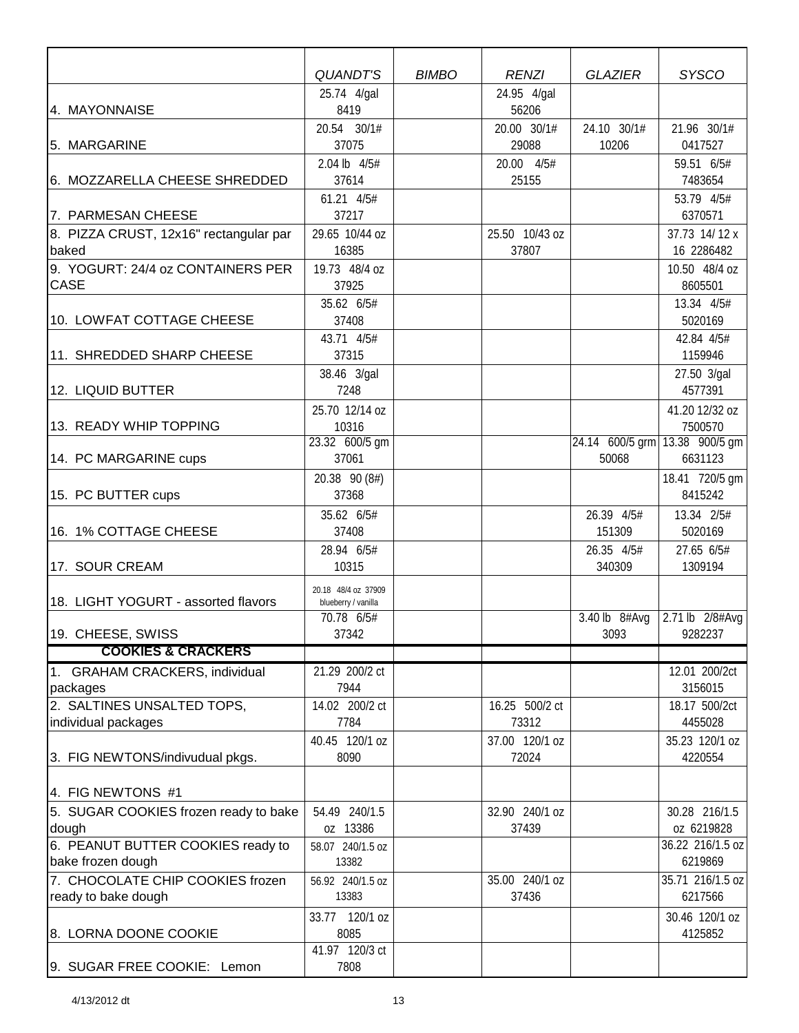|                                        | <b>QUANDT'S</b>                   | <b>BIMBO</b> | <b>RENZI</b>   | <b>GLAZIER</b>  | <b>SYSCO</b>                              |
|----------------------------------------|-----------------------------------|--------------|----------------|-----------------|-------------------------------------------|
|                                        | 25.74 4/gal                       |              | 24.95 4/gal    |                 |                                           |
| 4. MAYONNAISE                          | 8419                              |              | 56206          |                 |                                           |
|                                        | 20.54 30/1#                       |              | 20.00 30/1#    | 24.10 30/1#     | 21.96 30/1#                               |
| 5. MARGARINE                           | 37075                             |              | 29088          | 10206           | 0417527                                   |
|                                        | 2.04 lb 4/5#                      |              | 20.00 4/5#     |                 | 59.51 6/5#                                |
| 6. MOZZARELLA CHEESE SHREDDED          | 37614                             |              | 25155          |                 | 7483654                                   |
|                                        | 61.21 4/5#                        |              |                |                 | 53.79 4/5#                                |
| 7. PARMESAN CHEESE                     | 37217                             |              |                |                 | 6370571                                   |
| 8. PIZZA CRUST, 12x16" rectangular par | 29.65 10/44 oz                    |              | 25.50 10/43 oz |                 | 37.73 14/12 x                             |
| baked                                  | 16385                             |              | 37807          |                 | 16 2286482                                |
| 9. YOGURT: 24/4 oz CONTAINERS PER      | 19.73 48/4 oz                     |              |                |                 | 10.50 48/4 oz                             |
| <b>CASE</b>                            | 37925                             |              |                |                 | 8605501                                   |
|                                        | 35.62 6/5#                        |              |                |                 | 13.34 4/5#                                |
| 10. LOWFAT COTTAGE CHEESE              | 37408                             |              |                |                 | 5020169                                   |
|                                        | 43.71 4/5#                        |              |                |                 | 42.84 4/5#                                |
| 11. SHREDDED SHARP CHEESE              | 37315                             |              |                |                 | 1159946                                   |
|                                        | 38.46 3/gal                       |              |                |                 | 27.50 3/gal                               |
| 12. LIQUID BUTTER                      | 7248                              |              |                |                 | 4577391                                   |
|                                        | 25.70 12/14 oz                    |              |                |                 | 41.20 12/32 oz                            |
| 13. READY WHIP TOPPING                 | 10316                             |              |                |                 | 7500570                                   |
| 14. PC MARGARINE cups                  | 23.32 600/5 gm<br>37061           |              |                | 50068           | 24.14 600/5 grm 13.38 900/5 gm<br>6631123 |
|                                        |                                   |              |                |                 |                                           |
|                                        | 20.38 90 (8#)                     |              |                |                 | 18.41 720/5 gm<br>8415242                 |
| 15. PC BUTTER cups                     | 37368                             |              |                |                 |                                           |
|                                        | 35.62 6/5#                        |              |                | 26.39 4/5#      | 13.34 2/5#                                |
| 16. 1% COTTAGE CHEESE                  | 37408                             |              |                | 151309          | 5020169                                   |
|                                        | 28.94 6/5#                        |              |                | 26.35 4/5#      | 27.65 6/5#                                |
| 17. SOUR CREAM                         | 10315                             |              |                | 340309          | 1309194                                   |
| 18. LIGHT YOGURT - assorted flavors    | 20.18 48/4 oz 37909               |              |                |                 |                                           |
|                                        | blueberry / vanilla<br>70.78 6/5# |              |                | 3.40 lb $8#Avg$ | 2.71 lb 2/8#Avg                           |
| 19. CHEESE, SWISS                      | 37342                             |              |                | 3093            | 9282237                                   |
| <b>COOKIES &amp; CRACKERS</b>          |                                   |              |                |                 |                                           |
| 1. GRAHAM CRACKERS, individual         | 21.29 200/2 ct                    |              |                |                 | 12.01 200/2ct                             |
| packages                               | 7944                              |              |                |                 | 3156015                                   |
| 2. SALTINES UNSALTED TOPS,             | 14.02 200/2 ct                    |              | 16.25 500/2 ct |                 | 18.17 500/2ct                             |
| individual packages                    | 7784                              |              | 73312          |                 | 4455028                                   |
|                                        | 40.45 120/1 oz                    |              | 37.00 120/1 oz |                 | 35.23 120/1 oz                            |
| 3. FIG NEWTONS/indivudual pkgs.        | 8090                              |              | 72024          |                 | 4220554                                   |
|                                        |                                   |              |                |                 |                                           |
| 4. FIG NEWTONS #1                      |                                   |              |                |                 |                                           |
| 5. SUGAR COOKIES frozen ready to bake  | 54.49 240/1.5                     |              | 32.90 240/1 oz |                 | 30.28 216/1.5                             |
| dough                                  | oz 13386                          |              | 37439          |                 | oz 6219828                                |
| 6. PEANUT BUTTER COOKIES ready to      | 58.07 240/1.5 oz                  |              |                |                 | 36.22 216/1.5 oz                          |
| bake frozen dough                      | 13382                             |              |                |                 | 6219869                                   |
| 7. CHOCOLATE CHIP COOKIES frozen       | 56.92 240/1.5 oz                  |              | 35.00 240/1 oz |                 | 35.71 216/1.5 oz                          |
| ready to bake dough                    | 13383                             |              | 37436          |                 | 6217566                                   |
|                                        | 33.77 120/1 oz                    |              |                |                 | 30.46 120/1 oz                            |
| 8. LORNA DOONE COOKIE                  | 8085                              |              |                |                 | 4125852                                   |
|                                        | 41.97 120/3 ct                    |              |                |                 |                                           |
| 9. SUGAR FREE COOKIE: Lemon            | 7808                              |              |                |                 |                                           |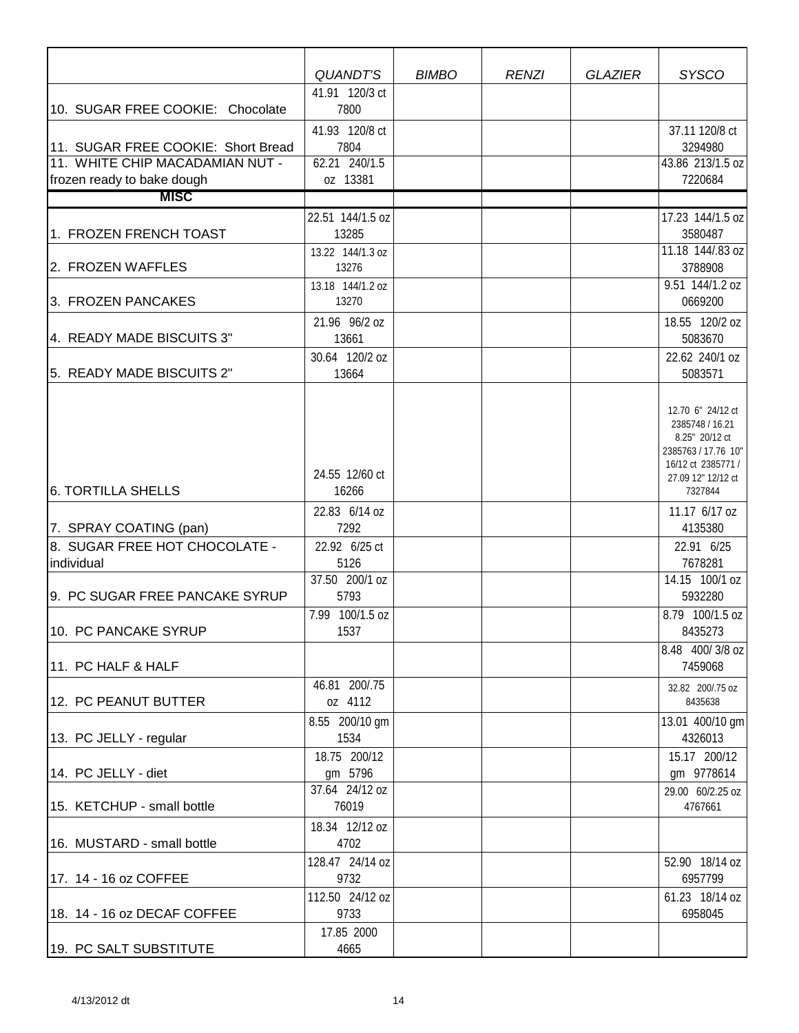|                                                               | QUANDT'S                                  | <b>BIMBO</b> | <b>RENZI</b> | <b>GLAZIER</b> | <b>SYSCO</b>                                                                                                                         |
|---------------------------------------------------------------|-------------------------------------------|--------------|--------------|----------------|--------------------------------------------------------------------------------------------------------------------------------------|
| 10. SUGAR FREE COOKIE: Chocolate                              | 41.91 120/3 ct<br>7800                    |              |              |                |                                                                                                                                      |
| 11. SUGAR FREE COOKIE: Short Bread                            | 41.93 120/8 ct<br>7804                    |              |              |                | 37.11 120/8 ct<br>3294980                                                                                                            |
| 11. WHITE CHIP MACADAMIAN NUT -<br>frozen ready to bake dough | 62.21 240/1.5<br>oz 13381                 |              |              |                | 43.86 213/1.5 oz<br>7220684                                                                                                          |
| <b>MISC</b>                                                   |                                           |              |              |                |                                                                                                                                      |
|                                                               | 22.51 144/1.5 oz                          |              |              |                | 17.23 144/1.5 oz                                                                                                                     |
| 1. FROZEN FRENCH TOAST                                        | 13285                                     |              |              |                | 3580487<br>11.18 144/.83 oz                                                                                                          |
| 2. FROZEN WAFFLES                                             | 13.22 144/1.3 oz<br>13276                 |              |              |                | 3788908                                                                                                                              |
| 3. FROZEN PANCAKES                                            | 13.18 144/1.2 oz<br>13270                 |              |              |                | 9.51 144/1.2 oz<br>0669200                                                                                                           |
| 4. READY MADE BISCUITS 3"                                     | 21.96 96/2 oz<br>13661                    |              |              |                | 18.55 120/2 oz<br>5083670                                                                                                            |
|                                                               | 30.64 120/2 oz                            |              |              |                | 22.62 240/1 oz                                                                                                                       |
| 5. READY MADE BISCUITS 2"                                     | 13664                                     |              |              |                | 5083571                                                                                                                              |
| <b>6. TORTILLA SHELLS</b>                                     | 24.55 12/60 ct<br>16266                   |              |              |                | 12.70 6" 24/12 ct<br>2385748 / 16.21<br>8.25" 20/12 ct<br>2385763 / 17.76 10"<br>16/12 ct 2385771 /<br>27.09 12" 12/12 ct<br>7327844 |
| 7. SPRAY COATING (pan)                                        | 22.83 6/14 oz<br>7292                     |              |              |                | 11.17 6/17 oz<br>4135380                                                                                                             |
| 8. SUGAR FREE HOT CHOCOLATE -                                 | 22.92 6/25 ct                             |              |              |                | 22.91 6/25                                                                                                                           |
| individual                                                    | 5126                                      |              |              |                | 7678281                                                                                                                              |
| 9. PC SUGAR FREE PANCAKE SYRUP                                | 37.50 200/1 oz<br>5793                    |              |              |                | 14.15 100/1 oz<br>5932280                                                                                                            |
| 10. PC PANCAKE SYRUP                                          | 7.99 100/1.5 oz<br>1537                   |              |              |                | 8.79 100/1.5 oz<br>8435273                                                                                                           |
| 11. PC HALF & HALF                                            |                                           |              |              |                | 8.48 400/3/8 oz<br>7459068                                                                                                           |
| 12. PC PEANUT BUTTER                                          | 46.81 200/.75<br>oz 4112                  |              |              |                | 32.82 200/.75 oz<br>8435638                                                                                                          |
| 13. PC JELLY - regular                                        | 8.55 200/10 gm<br>1534                    |              |              |                | 13.01 400/10 gm<br>4326013                                                                                                           |
| 14. PC JELLY - diet                                           | 18.75 200/12<br>gm 5796<br>37.64 24/12 oz |              |              |                | 15.17 200/12<br>gm 9778614<br>29.00 60/2.25 oz                                                                                       |
| 15. KETCHUP - small bottle                                    | 76019                                     |              |              |                | 4767661                                                                                                                              |
| 16. MUSTARD - small bottle                                    | 18.34 12/12 oz<br>4702                    |              |              |                |                                                                                                                                      |
| 17. 14 - 16 oz COFFEE                                         | 128.47 24/14 oz<br>9732                   |              |              |                | 52.90 18/14 oz<br>6957799                                                                                                            |
| 18. 14 - 16 oz DECAF COFFEE                                   | 112.50 24/12 oz<br>9733                   |              |              |                | 61.23 18/14 oz<br>6958045                                                                                                            |
| 19. PC SALT SUBSTITUTE                                        | 17.85 2000<br>4665                        |              |              |                |                                                                                                                                      |